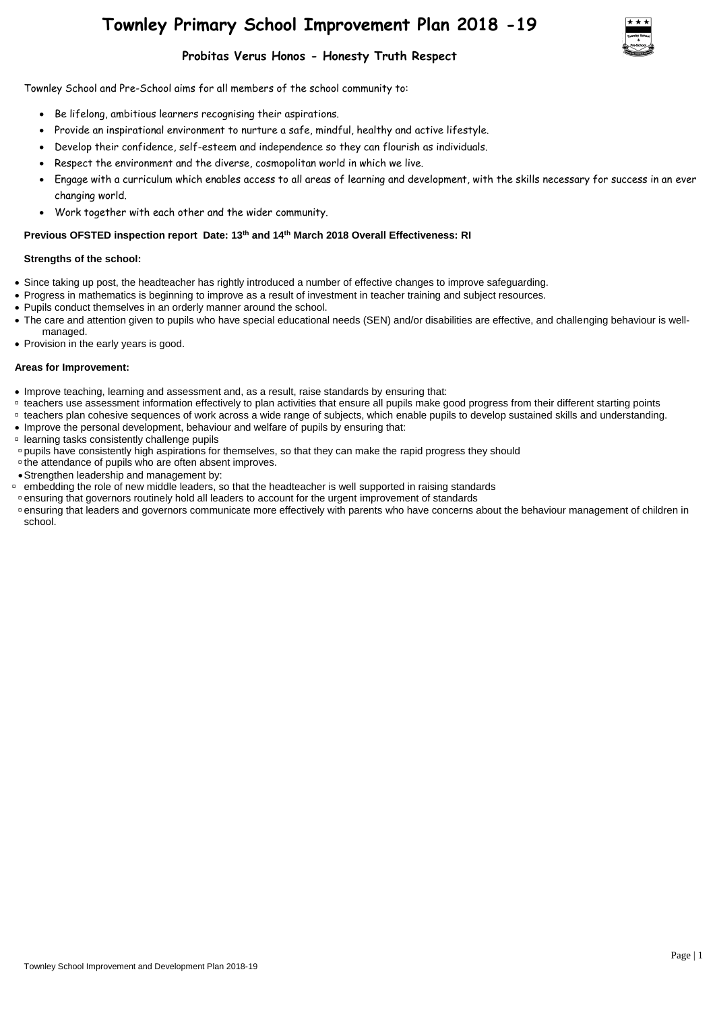Townley School Improvement and Development Plan 2018-19

# **Townley Primary School Improvement Plan 2018 -19**

# **Probitas Verus Honos - Honesty Truth Respect**

Townley School and Pre-School aims for all members of the school community to:

- Since taking up post, the headteacher has rightly introduced a number of effective changes to improve safeguarding.
- Progress in mathematics is beginning to improve as a result of investment in teacher training and subject resources.
- Pupils conduct themselves in an orderly manner around the school.
- The care and attention given to pupils who have special educational needs (SEN) and/or disabilities are effective, and challenging behaviour is wellmanaged.
- Provision in the early years is good.
- Be lifelong, ambitious learners recognising their aspirations.
- Provide an inspirational environment to nurture a safe, mindful, healthy and active lifestyle.
- Develop their confidence, self-esteem and independence so they can flourish as individuals.
- Respect the environment and the diverse, cosmopolitan world in which we live.
- Engage with a curriculum which enables access to all areas of learning and development, with the skills necessary for success in an ever changing world.
- Work together with each other and the wider community.

# **Previous OFSTED inspection report Date: 13th and 14th March 2018 Overall Effectiveness: RI**

## **Strengths of the school:**

- Improve teaching, learning and assessment and, as a result, raise standards by ensuring that:
- <sup>n</sup> teachers use assessment information effectively to plan activities that ensure all pupils make good progress from their different starting points
- <sup>n</sup> teachers plan cohesive sequences of work across a wide range of subjects, which enable pupils to develop sustained skills and understanding.
- Improve the personal development, behaviour and welfare of pupils by ensuring that:
- □ learning tasks consistently challenge pupils
- pupils have consistently high aspirations for themselves, so that they can make the rapid progress they should
- the attendance of pupils who are often absent improves.
- Strengthen leadership and management by:
- embedding the role of new middle leaders, so that the headteacher is well supported in raising standards
- ensuring that governors routinely hold all leaders to account for the urgent improvement of standards
- ensuring that leaders and governors communicate more effectively with parents who have concerns about the behaviour management of children in school.

## **Areas for Improvement:**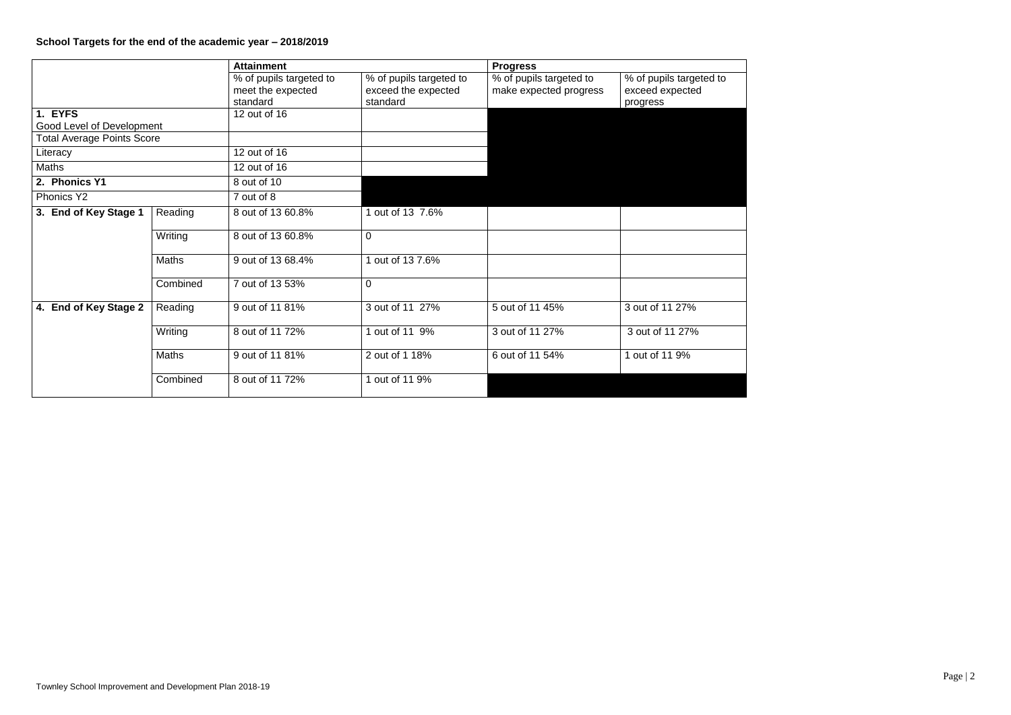# **School Targets for the end of the academic year – 2018/2019**

|                                   |              | <b>Attainment</b>       |                         | <b>Progress</b>         |                         |
|-----------------------------------|--------------|-------------------------|-------------------------|-------------------------|-------------------------|
|                                   |              | % of pupils targeted to | % of pupils targeted to | % of pupils targeted to | % of pupils targeted to |
|                                   |              | meet the expected       | exceed the expected     | make expected progress  | exceed expected         |
|                                   |              | standard                | standard                |                         | progress                |
| 1. EYFS                           |              | 12 out of 16            |                         |                         |                         |
| Good Level of Development         |              |                         |                         |                         |                         |
| <b>Total Average Points Score</b> |              |                         |                         |                         |                         |
| Literacy                          |              | 12 out of 16            |                         |                         |                         |
| <b>Maths</b>                      |              | 12 out of 16            |                         |                         |                         |
| 2. Phonics Y1                     |              | 8 out of 10             |                         |                         |                         |
| Phonics Y2                        |              | 7 out of 8              |                         |                         |                         |
| 3. End of Key Stage 1             | Reading      | 8 out of 13 60.8%       | 1 out of 13 7.6%        |                         |                         |
|                                   |              |                         |                         |                         |                         |
|                                   | Writing      | 8 out of 13 60.8%       | $\mathbf 0$             |                         |                         |
|                                   | <b>Maths</b> | 9 out of 13 68.4%       | 1 out of 13 7.6%        |                         |                         |
|                                   |              |                         |                         |                         |                         |
|                                   | Combined     | 7 out of 13 53%         | $\mathbf 0$             |                         |                         |
|                                   |              |                         |                         |                         |                         |
| 4. End of Key Stage 2             | Reading      | 9 out of 11 81%         | 3 out of 11 27%         | 5 out of 11 45%         | 3 out of 11 27%         |
|                                   |              |                         |                         |                         |                         |
|                                   | Writing      | 8 out of 11 72%         | 1 out of 11 9%          | 3 out of 11 27%         | 3 out of 11 27%         |
|                                   | <b>Maths</b> | 9 out of 11 81%         | 2 out of 1 18%          | 6 out of 11 54%         | 1 out of 11 9%          |
|                                   |              |                         |                         |                         |                         |
|                                   | Combined     | 8 out of 11 72%         | 1 out of 11 9%          |                         |                         |
|                                   |              |                         |                         |                         |                         |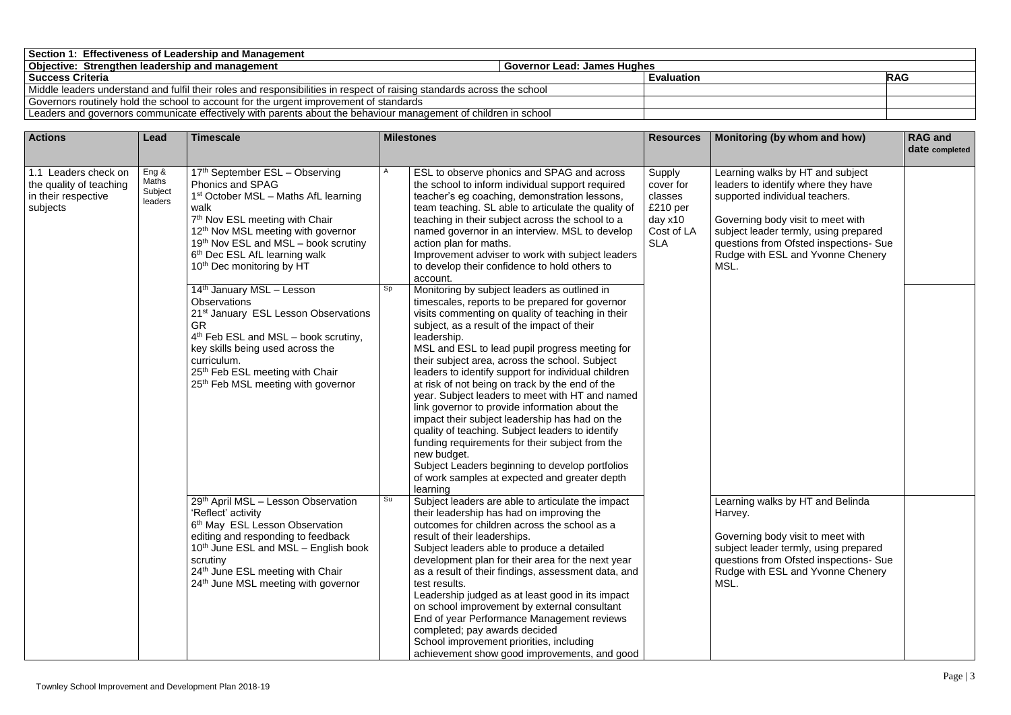| <b>RAG</b> |
|------------|
|            |
|            |
|            |

# **Section 1: Effectiveness of Leadership and Management**

| Objective: Strengthen leadership and management                                                                         | ∣ Governor Lead: James Hughes |            |
|-------------------------------------------------------------------------------------------------------------------------|-------------------------------|------------|
| <b>Success Criteria</b>                                                                                                 | Evaluation                    | <b>RAG</b> |
| Middle leaders understand and fulfil their roles and responsibilities in respect of raising standards across the school |                               |            |
| Governors routinely hold the school to account for the urgent improvement of standards                                  |                               |            |
| Leaders and governors communicate effectively with parents about the behaviour management of children in school         |                               |            |

| <b>Actions</b>                                                                     | Lead                                 | <b>Timescale</b>                                                                                                                                                                                                                                                                                                                  |                                                                                                                                                                                                                                                                                                                                                                                                                                                                                                                                                                                                                                                                                                                                                                                                                   | <b>Milestones</b>                                                                                                                                                                                                                                                                                                                                                                                                                                                                                                                                                                                                                        | <b>Resources</b>                                                                                                                                                                                                                                                                                                                                                                                                                                        | Monitoring (by whom and how)                                                                                                                                                                                     | <b>RAG and</b><br>date completed                                                                                                                                                                                                                                               |  |
|------------------------------------------------------------------------------------|--------------------------------------|-----------------------------------------------------------------------------------------------------------------------------------------------------------------------------------------------------------------------------------------------------------------------------------------------------------------------------------|-------------------------------------------------------------------------------------------------------------------------------------------------------------------------------------------------------------------------------------------------------------------------------------------------------------------------------------------------------------------------------------------------------------------------------------------------------------------------------------------------------------------------------------------------------------------------------------------------------------------------------------------------------------------------------------------------------------------------------------------------------------------------------------------------------------------|------------------------------------------------------------------------------------------------------------------------------------------------------------------------------------------------------------------------------------------------------------------------------------------------------------------------------------------------------------------------------------------------------------------------------------------------------------------------------------------------------------------------------------------------------------------------------------------------------------------------------------------|---------------------------------------------------------------------------------------------------------------------------------------------------------------------------------------------------------------------------------------------------------------------------------------------------------------------------------------------------------------------------------------------------------------------------------------------------------|------------------------------------------------------------------------------------------------------------------------------------------------------------------------------------------------------------------|--------------------------------------------------------------------------------------------------------------------------------------------------------------------------------------------------------------------------------------------------------------------------------|--|
| 1.1 Leaders check on<br>the quality of teaching<br>in their respective<br>subjects | Eng &<br>Maths<br>Subject<br>leaders |                                                                                                                                                                                                                                                                                                                                   |                                                                                                                                                                                                                                                                                                                                                                                                                                                                                                                                                                                                                                                                                                                                                                                                                   | 17th September ESL - Observing<br>A<br>Phonics and SPAG<br>1 <sup>st</sup> October MSL – Maths AfL learning<br>walk<br>7 <sup>th</sup> Nov ESL meeting with Chair<br>12 <sup>th</sup> Nov MSL meeting with governor<br>19th Nov ESL and MSL - book scrutiny<br>6 <sup>th</sup> Dec ESL AfL learning walk<br>10 <sup>th</sup> Dec monitoring by HT                                                                                                                                                                                                                                                                                        | ESL to observe phonics and SPAG and across<br>the school to inform individual support required<br>teacher's eg coaching, demonstration lessons,<br>team teaching. SL able to articulate the quality of<br>teaching in their subject across the school to a<br>named governor in an interview. MSL to develop<br>action plan for maths.<br>Improvement adviser to work with subject leaders<br>to develop their confidence to hold others to<br>account. | Supply<br>cover for<br>classes<br>$£210$ per<br>day $x10$<br>Cost of LA<br><b>SLA</b>                                                                                                                            | Learning walks by HT and subject<br>leaders to identify where they have<br>supported individual teachers.<br>Governing body visit to meet with<br>subject leader termly, using prepared<br>questions from Ofsted inspections- Sue<br>Rudge with ESL and Yvonne Chenery<br>MSL. |  |
|                                                                                    |                                      | Sp<br>14 <sup>th</sup> January MSL - Lesson<br><b>Observations</b><br>21 <sup>st</sup> January ESL Lesson Observations<br><b>GR</b><br>$4th$ Feb ESL and MSL – book scrutiny,<br>key skills being used across the<br>curriculum.<br>25 <sup>th</sup> Feb ESL meeting with Chair<br>25 <sup>th</sup> Feb MSL meeting with governor | Monitoring by subject leaders as outlined in<br>timescales, reports to be prepared for governor<br>visits commenting on quality of teaching in their<br>subject, as a result of the impact of their<br>leadership.<br>MSL and ESL to lead pupil progress meeting for<br>their subject area, across the school. Subject<br>leaders to identify support for individual children<br>at risk of not being on track by the end of the<br>year. Subject leaders to meet with HT and named<br>link governor to provide information about the<br>impact their subject leadership has had on the<br>quality of teaching. Subject leaders to identify<br>funding requirements for their subject from the<br>new budget.<br>Subject Leaders beginning to develop portfolios<br>of work samples at expected and greater depth |                                                                                                                                                                                                                                                                                                                                                                                                                                                                                                                                                                                                                                          |                                                                                                                                                                                                                                                                                                                                                                                                                                                         |                                                                                                                                                                                                                  |                                                                                                                                                                                                                                                                                |  |
|                                                                                    |                                      | 29th April MSL - Lesson Observation<br>'Reflect' activity<br>6 <sup>th</sup> May ESL Lesson Observation<br>editing and responding to feedback<br>$10th$ June ESL and MSL – English book<br>scrutiny<br>24th June ESL meeting with Chair<br>24 <sup>th</sup> June MSL meeting with governor                                        | Su                                                                                                                                                                                                                                                                                                                                                                                                                                                                                                                                                                                                                                                                                                                                                                                                                | Subject leaders are able to articulate the impact<br>their leadership has had on improving the<br>outcomes for children across the school as a<br>result of their leaderships.<br>Subject leaders able to produce a detailed<br>development plan for their area for the next year<br>as a result of their findings, assessment data, and<br>test results.<br>Leadership judged as at least good in its impact<br>on school improvement by external consultant<br>End of year Performance Management reviews<br>completed; pay awards decided<br>School improvement priorities, including<br>achievement show good improvements, and good |                                                                                                                                                                                                                                                                                                                                                                                                                                                         | Learning walks by HT and Belinda<br>Harvey.<br>Governing body visit to meet with<br>subject leader termly, using prepared<br>questions from Ofsted inspections- Sue<br>Rudge with ESL and Yvonne Chenery<br>MSL. |                                                                                                                                                                                                                                                                                |  |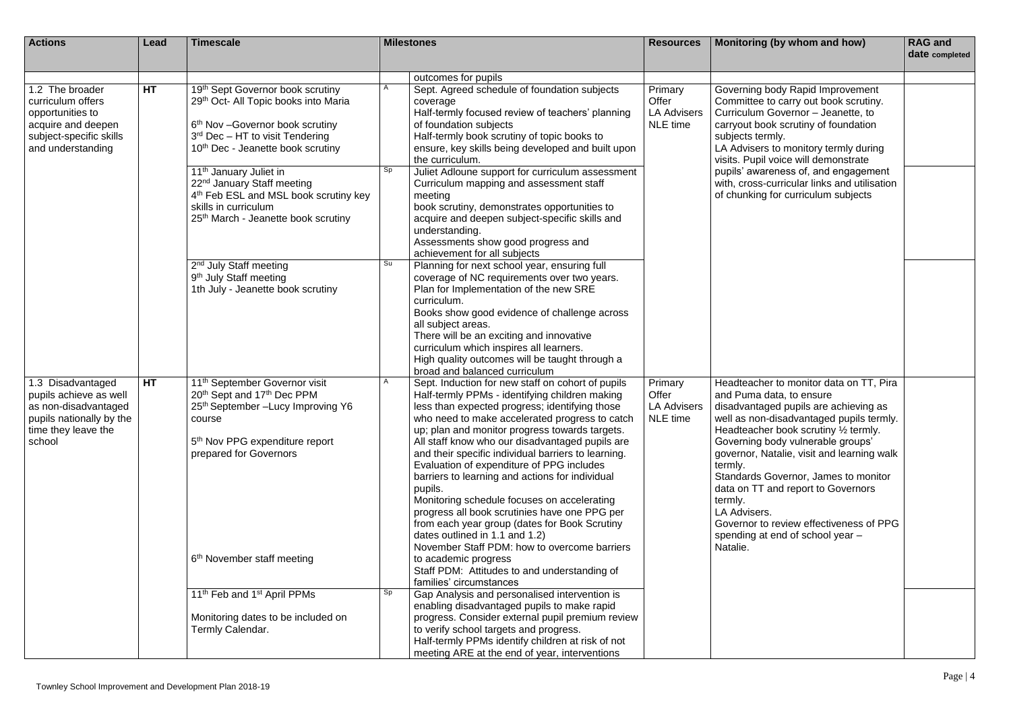| <b>Actions</b>                                                                                                                   | Lead      | <b>Timescale</b>                                                                                                                                                                                                                    |    | <b>Milestones</b>                                                                                                                                                                                                                                                                                                                                                                                                                                                                                                                                                                                                                                                                                                 | <b>Resources</b>                                   | Monitoring (by whom and how)                                                                                                                                                                                                                                                                                                                                                                                                                                                                                  | <b>RAG and</b><br>date completed |
|----------------------------------------------------------------------------------------------------------------------------------|-----------|-------------------------------------------------------------------------------------------------------------------------------------------------------------------------------------------------------------------------------------|----|-------------------------------------------------------------------------------------------------------------------------------------------------------------------------------------------------------------------------------------------------------------------------------------------------------------------------------------------------------------------------------------------------------------------------------------------------------------------------------------------------------------------------------------------------------------------------------------------------------------------------------------------------------------------------------------------------------------------|----------------------------------------------------|---------------------------------------------------------------------------------------------------------------------------------------------------------------------------------------------------------------------------------------------------------------------------------------------------------------------------------------------------------------------------------------------------------------------------------------------------------------------------------------------------------------|----------------------------------|
| 1.2 The broader<br>curriculum offers<br>opportunities to<br>acquire and deepen<br>subject-specific skills<br>and understanding   | <b>HT</b> | 19th Sept Governor book scrutiny<br>29th Oct- All Topic books into Maria<br>6 <sup>th</sup> Nov-Governor book scrutiny<br>$3rd$ Dec – HT to visit Tendering<br>10 <sup>th</sup> Dec - Jeanette book scrutiny                        | A  | outcomes for pupils<br>Sept. Agreed schedule of foundation subjects<br>coverage<br>Half-termly focused review of teachers' planning<br>of foundation subjects<br>Half-termly book scrutiny of topic books to<br>ensure, key skills being developed and built upon<br>the curriculum.                                                                                                                                                                                                                                                                                                                                                                                                                              | Primary<br>Offer<br><b>LA Advisers</b><br>NLE time | Governing body Rapid Improvement<br>Committee to carry out book scrutiny.<br>Curriculum Governor - Jeanette, to<br>carryout book scrutiny of foundation<br>subjects termly.<br>LA Advisers to monitory termly during<br>visits. Pupil voice will demonstrate                                                                                                                                                                                                                                                  |                                  |
|                                                                                                                                  |           | 11 <sup>th</sup> January Juliet in<br>22 <sup>nd</sup> January Staff meeting<br>4 <sup>th</sup> Feb ESL and MSL book scrutiny key<br>skills in curriculum<br>25 <sup>th</sup> March - Jeanette book scrutiny                        | Sp | Juliet Adloune support for curriculum assessment<br>Curriculum mapping and assessment staff<br>meeting<br>book scrutiny, demonstrates opportunities to<br>acquire and deepen subject-specific skills and<br>understanding.<br>Assessments show good progress and<br>achievement for all subjects                                                                                                                                                                                                                                                                                                                                                                                                                  |                                                    | pupils' awareness of, and engagement<br>with, cross-curricular links and utilisation<br>of chunking for curriculum subjects                                                                                                                                                                                                                                                                                                                                                                                   |                                  |
|                                                                                                                                  |           | 2 <sup>nd</sup> July Staff meeting<br>9 <sup>th</sup> July Staff meeting<br>1th July - Jeanette book scrutiny                                                                                                                       | Su | Planning for next school year, ensuring full<br>coverage of NC requirements over two years.<br>Plan for Implementation of the new SRE<br>curriculum.<br>Books show good evidence of challenge across<br>all subject areas.<br>There will be an exciting and innovative<br>curriculum which inspires all learners.<br>High quality outcomes will be taught through a<br>broad and balanced curriculum                                                                                                                                                                                                                                                                                                              |                                                    |                                                                                                                                                                                                                                                                                                                                                                                                                                                                                                               |                                  |
| 1.3 Disadvantaged<br>pupils achieve as well<br>as non-disadvantaged<br>pupils nationally by the<br>time they leave the<br>school | <b>HT</b> | 11 <sup>th</sup> September Governor visit<br>20 <sup>th</sup> Sept and 17 <sup>th</sup> Dec PPM<br>25 <sup>th</sup> September – Lucy Improving Y6<br>course<br>5 <sup>th</sup> Nov PPG expenditure report<br>prepared for Governors | A  | Sept. Induction for new staff on cohort of pupils<br>Half-termly PPMs - identifying children making<br>less than expected progress; identifying those<br>who need to make accelerated progress to catch<br>up; plan and monitor progress towards targets.<br>All staff know who our disadvantaged pupils are<br>and their specific individual barriers to learning.<br>Evaluation of expenditure of PPG includes<br>barriers to learning and actions for individual<br>pupils.<br>Monitoring schedule focuses on accelerating<br>progress all book scrutinies have one PPG per<br>from each year group (dates for Book Scrutiny<br>dates outlined in 1.1 and 1.2)<br>November Staff PDM: how to overcome barriers | Primary<br>Offer<br><b>LA Advisers</b><br>NLE time | Headteacher to monitor data on TT, Pira<br>and Puma data, to ensure<br>disadvantaged pupils are achieving as<br>well as non-disadvantaged pupils termly.<br>Headteacher book scrutiny $\frac{1}{2}$ termly.<br>Governing body vulnerable groups'<br>governor, Natalie, visit and learning walk<br>termly.<br>Standards Governor, James to monitor<br>data on TT and report to Governors<br>termly.<br>LA Advisers.<br>Governor to review effectiveness of PPG<br>spending at end of school year -<br>Natalie. |                                  |
|                                                                                                                                  |           | 6 <sup>th</sup> November staff meeting                                                                                                                                                                                              |    | to academic progress<br>Staff PDM: Attitudes to and understanding of<br>families' circumstances                                                                                                                                                                                                                                                                                                                                                                                                                                                                                                                                                                                                                   |                                                    |                                                                                                                                                                                                                                                                                                                                                                                                                                                                                                               |                                  |
|                                                                                                                                  |           | 11 <sup>th</sup> Feb and 1 <sup>st</sup> April PPMs<br>Monitoring dates to be included on<br>Termly Calendar.                                                                                                                       | Sp | Gap Analysis and personalised intervention is<br>enabling disadvantaged pupils to make rapid<br>progress. Consider external pupil premium review<br>to verify school targets and progress.<br>Half-termly PPMs identify children at risk of not<br>meeting ARE at the end of year, interventions                                                                                                                                                                                                                                                                                                                                                                                                                  |                                                    |                                                                                                                                                                                                                                                                                                                                                                                                                                                                                                               |                                  |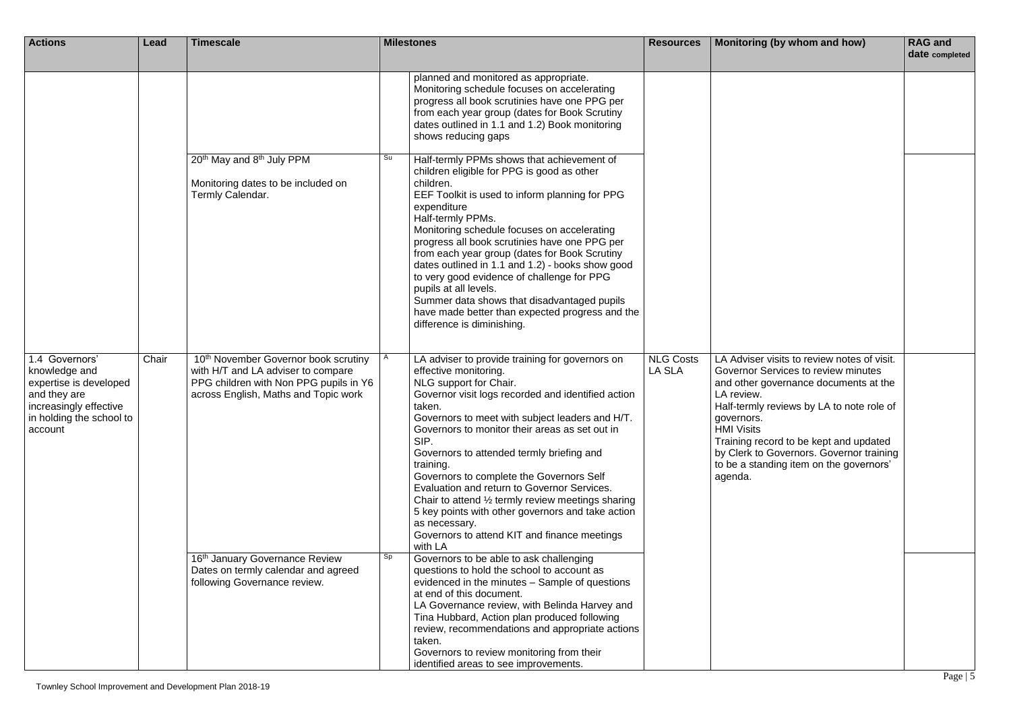| <b>Actions</b>                                                                                                                             | Lead  | <b>Timescale</b>                                                                                                                                             |    | <b>Milestones</b>                                                                                                                                                                                                                                                                                                                                                                                                                                                                                                                                                                                                                     | <b>Resources</b>                  | Monitoring (by whom and how)                                                                                                                                                                                                                                                                                                                                          | <b>RAG and</b><br>date completed |
|--------------------------------------------------------------------------------------------------------------------------------------------|-------|--------------------------------------------------------------------------------------------------------------------------------------------------------------|----|---------------------------------------------------------------------------------------------------------------------------------------------------------------------------------------------------------------------------------------------------------------------------------------------------------------------------------------------------------------------------------------------------------------------------------------------------------------------------------------------------------------------------------------------------------------------------------------------------------------------------------------|-----------------------------------|-----------------------------------------------------------------------------------------------------------------------------------------------------------------------------------------------------------------------------------------------------------------------------------------------------------------------------------------------------------------------|----------------------------------|
|                                                                                                                                            |       |                                                                                                                                                              |    | planned and monitored as appropriate.<br>Monitoring schedule focuses on accelerating<br>progress all book scrutinies have one PPG per<br>from each year group (dates for Book Scrutiny<br>dates outlined in 1.1 and 1.2) Book monitoring<br>shows reducing gaps                                                                                                                                                                                                                                                                                                                                                                       |                                   |                                                                                                                                                                                                                                                                                                                                                                       |                                  |
|                                                                                                                                            |       | 20 <sup>th</sup> May and 8 <sup>th</sup> July PPM<br>Monitoring dates to be included on<br>Termly Calendar.                                                  | Su | Half-termly PPMs shows that achievement of<br>children eligible for PPG is good as other<br>children.<br>EEF Toolkit is used to inform planning for PPG<br>expenditure<br>Half-termly PPMs.<br>Monitoring schedule focuses on accelerating<br>progress all book scrutinies have one PPG per<br>from each year group (dates for Book Scrutiny<br>dates outlined in 1.1 and 1.2) - books show good<br>to very good evidence of challenge for PPG<br>pupils at all levels.<br>Summer data shows that disadvantaged pupils<br>have made better than expected progress and the<br>difference is diminishing.                               |                                   |                                                                                                                                                                                                                                                                                                                                                                       |                                  |
| 1.4 Governors'<br>knowledge and<br>expertise is developed<br>and they are<br>increasingly effective<br>in holding the school to<br>account | Chair | 10th November Governor book scrutiny<br>with H/T and LA adviser to compare<br>PPG children with Non PPG pupils in Y6<br>across English, Maths and Topic work | A  | LA adviser to provide training for governors on<br>effective monitoring.<br>NLG support for Chair.<br>Governor visit logs recorded and identified action<br>taken.<br>Governors to meet with subject leaders and H/T.<br>Governors to monitor their areas as set out in<br>SIP.<br>Governors to attended termly briefing and<br>training.<br>Governors to complete the Governors Self<br>Evaluation and return to Governor Services.<br>Chair to attend $\frac{1}{2}$ termly review meetings sharing<br>5 key points with other governors and take action<br>as necessary.<br>Governors to attend KIT and finance meetings<br>with LA | <b>NLG Costs</b><br><b>LA SLA</b> | LA Adviser visits to review notes of visit.<br>Governor Services to review minutes<br>and other governance documents at the<br>LA review.<br>Half-termly reviews by LA to note role of<br>governors.<br><b>HMI Visits</b><br>Training record to be kept and updated<br>by Clerk to Governors. Governor training<br>to be a standing item on the governors'<br>agenda. |                                  |
|                                                                                                                                            |       | 16th January Governance Review<br>Dates on termly calendar and agreed<br>following Governance review.                                                        | Sp | Governors to be able to ask challenging<br>questions to hold the school to account as<br>evidenced in the minutes - Sample of questions<br>at end of this document.<br>LA Governance review, with Belinda Harvey and<br>Tina Hubbard, Action plan produced following<br>review, recommendations and appropriate actions<br>taken.<br>Governors to review monitoring from their<br>identified areas to see improvements.                                                                                                                                                                                                               |                                   |                                                                                                                                                                                                                                                                                                                                                                       | Page   $5$                       |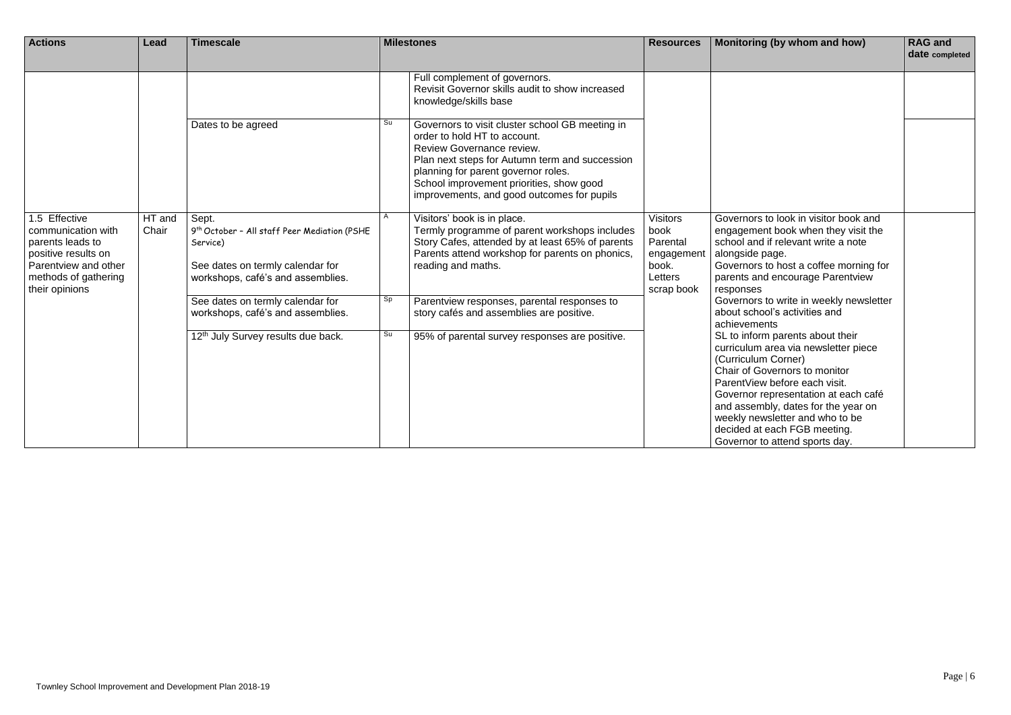| <b>Actions</b>                                                                                                                                   | Lead            | <b>Timescale</b>                                                                                                                                       |              | <b>Milestones</b>                                                                                                                                                                                                                                                                               | <b>Resources</b>                                                                                                                                                                                                                                                                                                         | Monitoring (by whom and how)                                                                                                                                                                                                                                                                                                                          | <b>RAG and</b><br>date completed |  |  |  |  |  |                                                                       |    |                                                                                         |                                               |                                         |
|--------------------------------------------------------------------------------------------------------------------------------------------------|-----------------|--------------------------------------------------------------------------------------------------------------------------------------------------------|--------------|-------------------------------------------------------------------------------------------------------------------------------------------------------------------------------------------------------------------------------------------------------------------------------------------------|--------------------------------------------------------------------------------------------------------------------------------------------------------------------------------------------------------------------------------------------------------------------------------------------------------------------------|-------------------------------------------------------------------------------------------------------------------------------------------------------------------------------------------------------------------------------------------------------------------------------------------------------------------------------------------------------|----------------------------------|--|--|--|--|--|-----------------------------------------------------------------------|----|-----------------------------------------------------------------------------------------|-----------------------------------------------|-----------------------------------------|
|                                                                                                                                                  |                 |                                                                                                                                                        |              | Full complement of governors.<br>Revisit Governor skills audit to show increased<br>knowledge/skills base                                                                                                                                                                                       |                                                                                                                                                                                                                                                                                                                          |                                                                                                                                                                                                                                                                                                                                                       |                                  |  |  |  |  |  |                                                                       |    |                                                                                         |                                               |                                         |
|                                                                                                                                                  |                 | Dates to be agreed                                                                                                                                     | Su           | Governors to visit cluster school GB meeting in<br>order to hold HT to account.<br>Review Governance review.<br>Plan next steps for Autumn term and succession<br>planning for parent governor roles.<br>School improvement priorities, show good<br>improvements, and good outcomes for pupils |                                                                                                                                                                                                                                                                                                                          |                                                                                                                                                                                                                                                                                                                                                       |                                  |  |  |  |  |  |                                                                       |    |                                                                                         |                                               |                                         |
| 1.5 Effective<br>communication with<br>parents leads to<br>positive results on<br>Parentview and other<br>methods of gathering<br>their opinions | HT and<br>Chair | Sept.<br>9 <sup>th</sup> October - All staff Peer Mediation (PSHE<br>Service)<br>See dates on termly calendar for<br>workshops, café's and assemblies. | $\mathsf{A}$ | Visitors' book is in place.<br>Termly programme of parent workshops includes<br>Story Cafes, attended by at least 65% of parents<br>Parents attend workshop for parents on phonics,<br>reading and maths.                                                                                       | <b>Visitors</b><br>Governors to look in visitor book and<br>engagement book when they visit the<br>book<br>Parental<br>school and if relevant write a note<br>alongside page.<br>engagement<br>Governors to host a coffee morning for<br>book.<br>Letters<br>parents and encourage Parentview<br>scrap book<br>responses |                                                                                                                                                                                                                                                                                                                                                       |                                  |  |  |  |  |  |                                                                       |    |                                                                                         |                                               |                                         |
|                                                                                                                                                  |                 |                                                                                                                                                        |              |                                                                                                                                                                                                                                                                                                 |                                                                                                                                                                                                                                                                                                                          |                                                                                                                                                                                                                                                                                                                                                       |                                  |  |  |  |  |  | See dates on termly calendar for<br>workshops, café's and assemblies. | Sp | Parentview responses, parental responses to<br>story cafés and assemblies are positive. | about school's activities and<br>achievements | Governors to write in weekly newsletter |
|                                                                                                                                                  |                 | 12 <sup>th</sup> July Survey results due back.                                                                                                         | Su           | 95% of parental survey responses are positive.                                                                                                                                                                                                                                                  |                                                                                                                                                                                                                                                                                                                          | SL to inform parents about their<br>curriculum area via newsletter piece<br>(Curriculum Corner)<br>Chair of Governors to monitor<br>ParentView before each visit.<br>Governor representation at each café<br>and assembly, dates for the year on<br>weekly newsletter and who to be<br>decided at each FGB meeting.<br>Governor to attend sports day. |                                  |  |  |  |  |  |                                                                       |    |                                                                                         |                                               |                                         |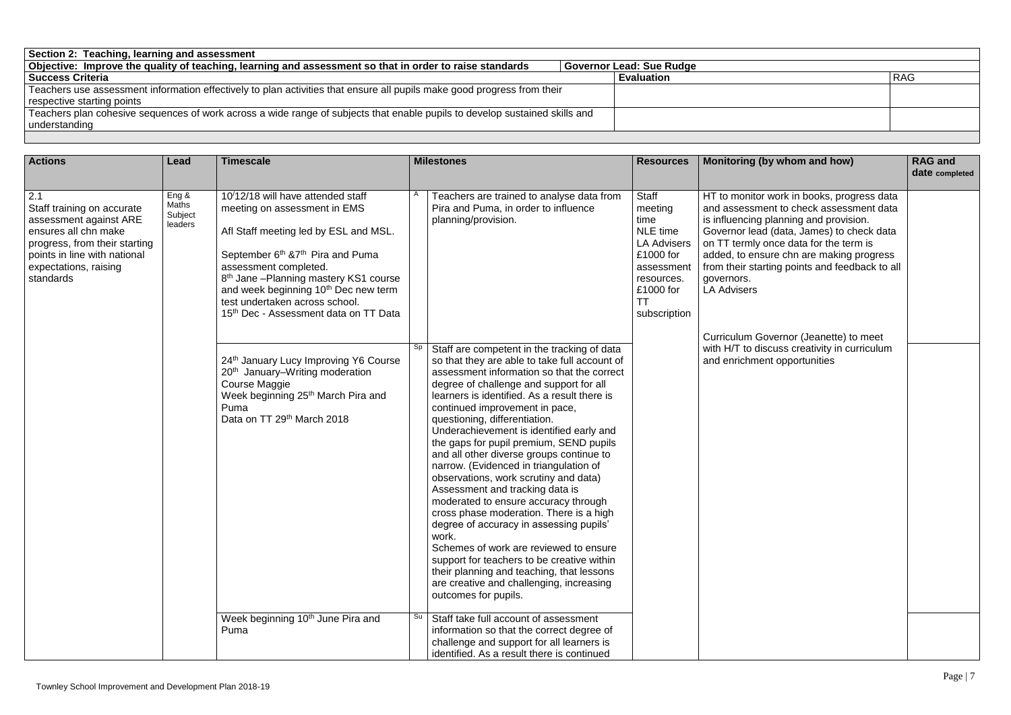| Section 2: Teaching, learning and assessment                                                                                               |            |     |  |  |  |  |  |
|--------------------------------------------------------------------------------------------------------------------------------------------|------------|-----|--|--|--|--|--|
| Objective: Improve the quality of teaching, learning and assessment so that in order to raise standards<br><b>Governor Lead: Sue Rudge</b> |            |     |  |  |  |  |  |
| <sup>'</sup> Success Criteria                                                                                                              | Evaluation | RAG |  |  |  |  |  |
| Teachers use assessment information effectively to plan activities that ensure all pupils make good progress from their                    |            |     |  |  |  |  |  |
| respective starting points                                                                                                                 |            |     |  |  |  |  |  |
| Teachers plan cohesive sequences of work across a wide range of subjects that enable pupils to develop sustained skills and                |            |     |  |  |  |  |  |
| understanding                                                                                                                              |            |     |  |  |  |  |  |
|                                                                                                                                            |            |     |  |  |  |  |  |

| <b>Actions</b>                                                                                                                                                                             | Lead                                 | <b>Timescale</b>                                                                                                                                                                                                                                                                                                                                                |    | <b>Milestones</b>                                                                                                                                                                                                                                                                                                                                                                                                                                                                                                                                                                                                                                                                                                                                                                                                                                                                                                 | <b>Resources</b>                                                                                                                                     | Monitoring (by whom and how)                                                                                                                                                                                                                                                                                                                             | <b>RAG and</b><br>date completed |
|--------------------------------------------------------------------------------------------------------------------------------------------------------------------------------------------|--------------------------------------|-----------------------------------------------------------------------------------------------------------------------------------------------------------------------------------------------------------------------------------------------------------------------------------------------------------------------------------------------------------------|----|-------------------------------------------------------------------------------------------------------------------------------------------------------------------------------------------------------------------------------------------------------------------------------------------------------------------------------------------------------------------------------------------------------------------------------------------------------------------------------------------------------------------------------------------------------------------------------------------------------------------------------------------------------------------------------------------------------------------------------------------------------------------------------------------------------------------------------------------------------------------------------------------------------------------|------------------------------------------------------------------------------------------------------------------------------------------------------|----------------------------------------------------------------------------------------------------------------------------------------------------------------------------------------------------------------------------------------------------------------------------------------------------------------------------------------------------------|----------------------------------|
| 2.1<br>Staff training on accurate<br>assessment against ARE<br>ensures all chn make<br>progress, from their starting<br>points in line with national<br>expectations, raising<br>standards | Eng &<br>Maths<br>Subject<br>leaders | $10/12/18$ will have attended staff<br>meeting on assessment in EMS<br>Afl Staff meeting led by ESL and MSL.<br>September 6th & 7th Pira and Puma<br>assessment completed.<br>8 <sup>th</sup> Jane - Planning mastery KS1 course<br>and week beginning 10 <sup>th</sup> Dec new term<br>test undertaken across school.<br>15th Dec - Assessment data on TT Data |    | Teachers are trained to analyse data from<br>Pira and Puma, in order to influence<br>planning/provision.                                                                                                                                                                                                                                                                                                                                                                                                                                                                                                                                                                                                                                                                                                                                                                                                          | Staff<br>meeting<br>time<br><b>NLE</b> time<br><b>LA Advisers</b><br>£1000 for<br>assessment<br>resources.<br>£1000 for<br><b>TT</b><br>subscription | HT to monitor work in books, progress data<br>and assessment to check assessment data<br>is influencing planning and provision.<br>Governor lead (data, James) to check data<br>on TT termly once data for the term is<br>added, to ensure chn are making progress<br>from their starting points and feedback to all<br>governors.<br><b>LA Advisers</b> |                                  |
|                                                                                                                                                                                            |                                      | 24th January Lucy Improving Y6 Course<br>20 <sup>th</sup> January-Writing moderation<br><b>Course Maggie</b><br>Week beginning 25 <sup>th</sup> March Pira and<br>Puma<br>Data on TT 29th March 2018                                                                                                                                                            | Sp | Staff are competent in the tracking of data<br>so that they are able to take full account of<br>assessment information so that the correct<br>degree of challenge and support for all<br>learners is identified. As a result there is<br>continued improvement in pace,<br>questioning, differentiation.<br>Underachievement is identified early and<br>the gaps for pupil premium, SEND pupils<br>and all other diverse groups continue to<br>narrow. (Evidenced in triangulation of<br>observations, work scrutiny and data)<br>Assessment and tracking data is<br>moderated to ensure accuracy through<br>cross phase moderation. There is a high<br>degree of accuracy in assessing pupils'<br>work.<br>Schemes of work are reviewed to ensure<br>support for teachers to be creative within<br>their planning and teaching, that lessons<br>are creative and challenging, increasing<br>outcomes for pupils. |                                                                                                                                                      | Curriculum Governor (Jeanette) to meet<br>with H/T to discuss creativity in curriculum<br>and enrichment opportunities                                                                                                                                                                                                                                   |                                  |
|                                                                                                                                                                                            |                                      | Week beginning 10 <sup>th</sup> June Pira and<br>Puma                                                                                                                                                                                                                                                                                                           | Su | Staff take full account of assessment<br>information so that the correct degree of<br>challenge and support for all learners is<br>identified. As a result there is continued                                                                                                                                                                                                                                                                                                                                                                                                                                                                                                                                                                                                                                                                                                                                     |                                                                                                                                                      |                                                                                                                                                                                                                                                                                                                                                          |                                  |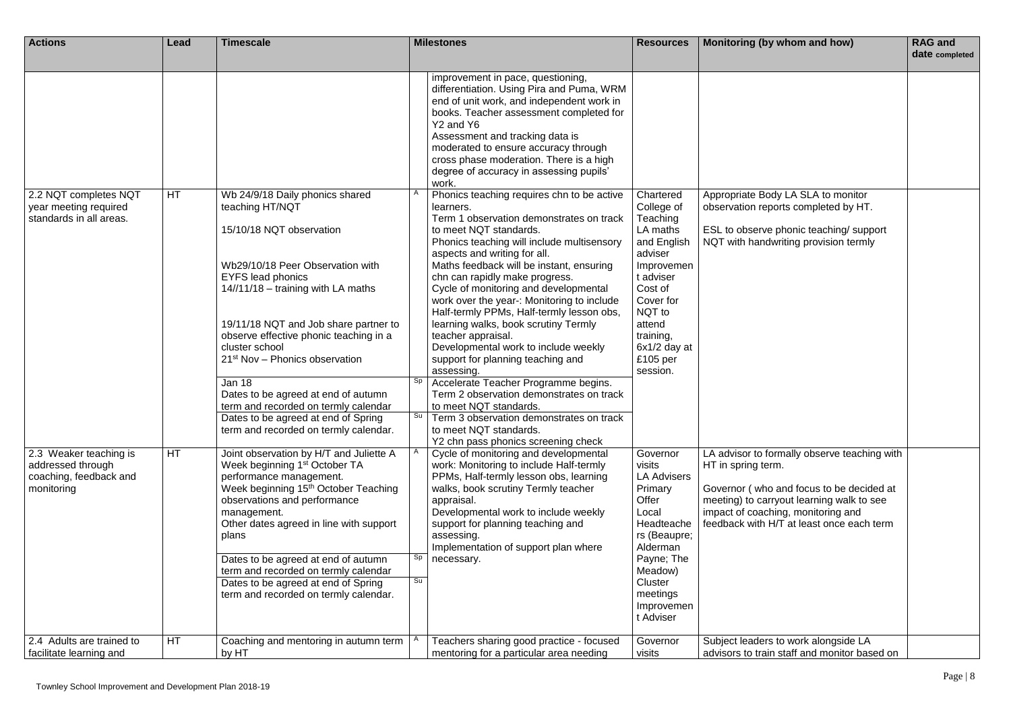| <b>Actions</b>                                                                      | Lead | <b>Timescale</b>                                                                                                                                                                                                                                                                                                                                                                                                                                                               |          | <b>Milestones</b>                                                                                                                                                                                                                                                                                                                                                                                                                                                                                                                                                                                                                                                                                                                                                   | <b>Resources</b>                                                                                                                                                                                  | Monitoring (by whom and how)                                                                                                                                                                                                                   | <b>RAG and</b><br>date compl |
|-------------------------------------------------------------------------------------|------|--------------------------------------------------------------------------------------------------------------------------------------------------------------------------------------------------------------------------------------------------------------------------------------------------------------------------------------------------------------------------------------------------------------------------------------------------------------------------------|----------|---------------------------------------------------------------------------------------------------------------------------------------------------------------------------------------------------------------------------------------------------------------------------------------------------------------------------------------------------------------------------------------------------------------------------------------------------------------------------------------------------------------------------------------------------------------------------------------------------------------------------------------------------------------------------------------------------------------------------------------------------------------------|---------------------------------------------------------------------------------------------------------------------------------------------------------------------------------------------------|------------------------------------------------------------------------------------------------------------------------------------------------------------------------------------------------------------------------------------------------|------------------------------|
| 2.2 NQT completes NQT                                                               | HT   | Wb 24/9/18 Daily phonics shared                                                                                                                                                                                                                                                                                                                                                                                                                                                | A        | improvement in pace, questioning,<br>differentiation. Using Pira and Puma, WRM<br>end of unit work, and independent work in<br>books. Teacher assessment completed for<br>Y <sub>2</sub> and Y <sub>6</sub><br>Assessment and tracking data is<br>moderated to ensure accuracy through<br>cross phase moderation. There is a high<br>degree of accuracy in assessing pupils'<br>work.<br>Phonics teaching requires chn to be active                                                                                                                                                                                                                                                                                                                                 | Chartered                                                                                                                                                                                         | Appropriate Body LA SLA to monitor                                                                                                                                                                                                             |                              |
| year meeting required<br>standards in all areas.                                    |      | teaching HT/NQT<br>15/10/18 NQT observation<br>Wb29/10/18 Peer Observation with<br><b>EYFS lead phonics</b><br>$14/11/18 -$ training with LA maths<br>19/11/18 NQT and Job share partner to<br>observe effective phonic teaching in a<br>cluster school<br>21 <sup>st</sup> Nov - Phonics observation<br>Jan 18<br>Dates to be agreed at end of autumn<br>term and recorded on termly calendar<br>Dates to be agreed at end of Spring<br>term and recorded on termly calendar. | Sp<br>Su | learners.<br>Term 1 observation demonstrates on track<br>to meet NQT standards.<br>Phonics teaching will include multisensory<br>aspects and writing for all.<br>Maths feedback will be instant, ensuring<br>chn can rapidly make progress.<br>Cycle of monitoring and developmental<br>work over the year-: Monitoring to include<br>Half-termly PPMs, Half-termly lesson obs,<br>learning walks, book scrutiny Termly<br>teacher appraisal.<br>Developmental work to include weekly<br>support for planning teaching and<br>assessing.<br>Accelerate Teacher Programme begins.<br>Term 2 observation demonstrates on track<br>to meet NQT standards.<br>Term 3 observation demonstrates on track<br>to meet NQT standards.<br>Y2 chn pass phonics screening check | College of<br>Teaching<br>LA maths<br>and English<br>adviser<br>Improvemen<br>t adviser<br>Cost of<br>Cover for<br>NQT to<br>attend<br>training,<br>$6x1/2$ day at<br>£105 per<br>session.        | observation reports completed by HT.<br>ESL to observe phonic teaching/ support<br>NQT with handwriting provision termly                                                                                                                       |                              |
| 2.3 Weaker teaching is<br>addressed through<br>coaching, feedback and<br>monitoring | HT   | Joint observation by H/T and Juliette A<br>Week beginning 1 <sup>st</sup> October TA<br>performance management.<br>Week beginning 15 <sup>th</sup> October Teaching<br>observations and performance<br>management.<br>Other dates agreed in line with support<br>plans<br>Dates to be agreed at end of autumn<br>term and recorded on termly calendar<br>Dates to be agreed at end of Spring<br>term and recorded on termly calendar.                                          | Sp<br>Su | Cycle of monitoring and developmental<br>work: Monitoring to include Half-termly<br>PPMs, Half-termly lesson obs, learning<br>walks, book scrutiny Termly teacher<br>appraisal.<br>Developmental work to include weekly<br>support for planning teaching and<br>assessing.<br>Implementation of support plan where<br>necessary.                                                                                                                                                                                                                                                                                                                                                                                                                                    | Governor<br>visits<br><b>LA Advisers</b><br><b>Primary</b><br>Offer<br>Local<br>Headteache<br>rs (Beaupre;<br>Alderman<br>Payne; The<br>Meadow)<br>Cluster<br>meetings<br>Improvemen<br>t Adviser | LA advisor to formally observe teaching with<br>HT in spring term.<br>Governor (who and focus to be decided at<br>meeting) to carryout learning walk to see<br>impact of coaching, monitoring and<br>feedback with H/T at least once each term |                              |
| 2.4 Adults are trained to<br>facilitate learning and                                | HT   | Coaching and mentoring in autumn term<br>by HT                                                                                                                                                                                                                                                                                                                                                                                                                                 |          | Teachers sharing good practice - focused<br>mentoring for a particular area needing                                                                                                                                                                                                                                                                                                                                                                                                                                                                                                                                                                                                                                                                                 | Governor<br>visits                                                                                                                                                                                | Subject leaders to work alongside LA<br>advisors to train staff and monitor based on                                                                                                                                                           |                              |

| Monitoring (by whom and how)                                                                                                                                             | <b>RAG and</b><br>date completed |
|--------------------------------------------------------------------------------------------------------------------------------------------------------------------------|----------------------------------|
|                                                                                                                                                                          |                                  |
|                                                                                                                                                                          |                                  |
|                                                                                                                                                                          |                                  |
| Appropriate Body LA SLA to monitor<br>observation reports completed by HT.                                                                                               |                                  |
| ESL to observe phonic teaching/ support<br>NQT with handwriting provision termly                                                                                         |                                  |
|                                                                                                                                                                          |                                  |
|                                                                                                                                                                          |                                  |
|                                                                                                                                                                          |                                  |
|                                                                                                                                                                          |                                  |
|                                                                                                                                                                          |                                  |
| LA advisor to formally observe teaching with<br>HT in spring term.                                                                                                       |                                  |
| Governor (who and focus to be decided at<br>meeting) to carryout learning walk to see<br>impact of coaching, monitoring and<br>feedback with H/T at least once each term |                                  |
|                                                                                                                                                                          |                                  |
|                                                                                                                                                                          |                                  |
| Subject leaders to work alongside LA                                                                                                                                     |                                  |
| advisors to train staff and monitor based on                                                                                                                             |                                  |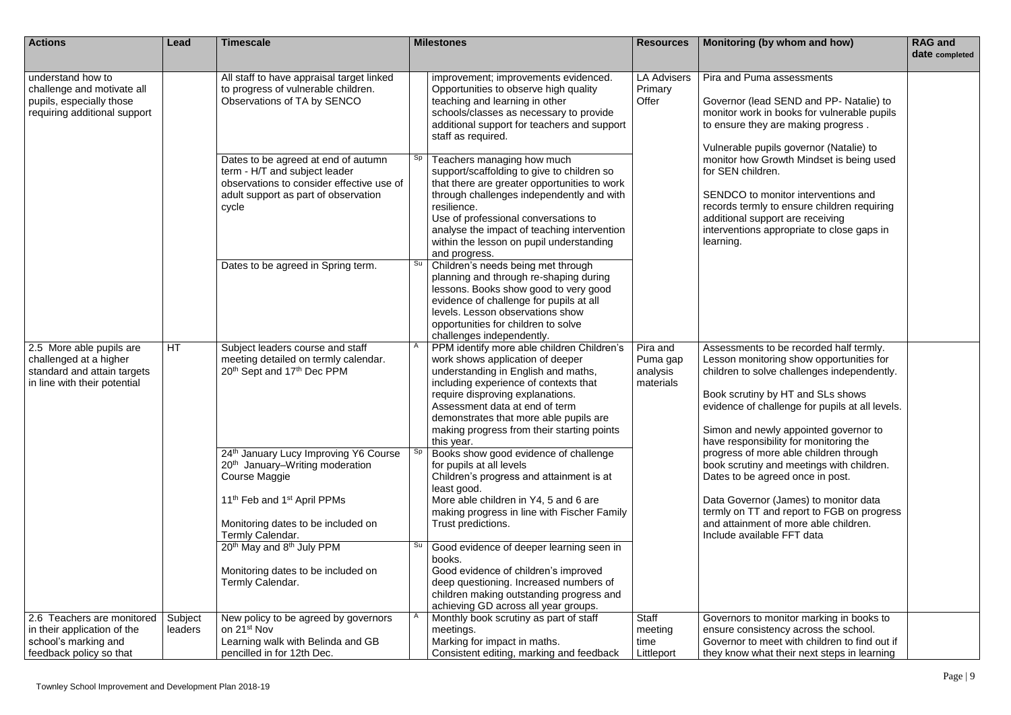| <b>Actions</b>                                                                                                    | Lead               | <b>Timescale</b>                                                                                                                                                   |    | <b>Milestones</b>                                                                                                                                                                                                                                                                                                                          | <b>Resources</b>                              | Monitoring (by whom and how)                                                                                                                                                                                                                                                                                  | <b>RAG and</b><br>date completed |
|-------------------------------------------------------------------------------------------------------------------|--------------------|--------------------------------------------------------------------------------------------------------------------------------------------------------------------|----|--------------------------------------------------------------------------------------------------------------------------------------------------------------------------------------------------------------------------------------------------------------------------------------------------------------------------------------------|-----------------------------------------------|---------------------------------------------------------------------------------------------------------------------------------------------------------------------------------------------------------------------------------------------------------------------------------------------------------------|----------------------------------|
| understand how to<br>challenge and motivate all<br>pupils, especially those<br>requiring additional support       |                    | All staff to have appraisal target linked<br>to progress of vulnerable children.<br>Observations of TA by SENCO                                                    |    | improvement; improvements evidenced.<br>Opportunities to observe high quality<br>teaching and learning in other<br>schools/classes as necessary to provide<br>additional support for teachers and support<br>staff as required.                                                                                                            | <b>LA Advisers</b><br>Primary<br>Offer        | Pira and Puma assessments<br>Governor (lead SEND and PP- Natalie) to<br>monitor work in books for vulnerable pupils<br>to ensure they are making progress.<br>Vulnerable pupils governor (Natalie) to                                                                                                         |                                  |
|                                                                                                                   |                    | Dates to be agreed at end of autumn<br>term - H/T and subject leader<br>observations to consider effective use of<br>adult support as part of observation<br>cycle | Sp | Teachers managing how much<br>support/scaffolding to give to children so<br>that there are greater opportunities to work<br>through challenges independently and with<br>resilience.<br>Use of professional conversations to<br>analyse the impact of teaching intervention<br>within the lesson on pupil understanding<br>and progress.   |                                               | monitor how Growth Mindset is being used<br>for SEN children.<br>SENDCO to monitor interventions and<br>records termly to ensure children requiring<br>additional support are receiving<br>interventions appropriate to close gaps in<br>learning.                                                            |                                  |
|                                                                                                                   |                    | Dates to be agreed in Spring term.                                                                                                                                 | Su | Children's needs being met through<br>planning and through re-shaping during<br>lessons. Books show good to very good<br>evidence of challenge for pupils at all<br>levels. Lesson observations show<br>opportunities for children to solve<br>challenges independently.                                                                   |                                               |                                                                                                                                                                                                                                                                                                               |                                  |
| 2.5 More able pupils are<br>challenged at a higher<br>standard and attain targets<br>in line with their potential | HT                 | Subject leaders course and staff<br>meeting detailed on termly calendar.<br>20 <sup>th</sup> Sept and 17 <sup>th</sup> Dec PPM                                     |    | PPM identify more able children Children's<br>work shows application of deeper<br>understanding in English and maths,<br>including experience of contexts that<br>require disproving explanations.<br>Assessment data at end of term<br>demonstrates that more able pupils are<br>making progress from their starting points<br>this year. | Pira and<br>Puma gap<br>analysis<br>materials | Assessments to be recorded half termly.<br>Lesson monitoring show opportunities for<br>children to solve challenges independently.<br>Book scrutiny by HT and SLs shows<br>evidence of challenge for pupils at all levels.<br>Simon and newly appointed governor to<br>have responsibility for monitoring the |                                  |
|                                                                                                                   |                    | 24th January Lucy Improving Y6 Course<br>20 <sup>th</sup> January–Writing moderation<br>Course Maggie                                                              |    | Books show good evidence of challenge<br>for pupils at all levels<br>Children's progress and attainment is at<br>least good.                                                                                                                                                                                                               |                                               | progress of more able children through<br>book scrutiny and meetings with children.<br>Dates to be agreed once in post.                                                                                                                                                                                       |                                  |
|                                                                                                                   |                    | 11 <sup>th</sup> Feb and 1 <sup>st</sup> April PPMs<br>Monitoring dates to be included on<br>Termly Calendar.                                                      |    | More able children in Y4, 5 and 6 are<br>making progress in line with Fischer Family<br>Trust predictions.                                                                                                                                                                                                                                 |                                               | Data Governor (James) to monitor data<br>termly on TT and report to FGB on progress<br>and attainment of more able children.<br>Include available FFT data                                                                                                                                                    |                                  |
|                                                                                                                   |                    | 20 <sup>th</sup> May and 8 <sup>th</sup> July PPM<br>Monitoring dates to be included on<br>Termly Calendar.                                                        | Su | Good evidence of deeper learning seen in<br>books.<br>Good evidence of children's improved<br>deep questioning. Increased numbers of<br>children making outstanding progress and<br>achieving GD across all year groups.                                                                                                                   |                                               |                                                                                                                                                                                                                                                                                                               |                                  |
| 2.6 Teachers are monitored<br>in their application of the<br>school's marking and<br>feedback policy so that      | Subject<br>leaders | New policy to be agreed by governors<br>on 21 <sup>st</sup> Nov<br>Learning walk with Belinda and GB<br>pencilled in for 12th Dec.                                 |    | Monthly book scrutiny as part of staff<br>meetings.<br>Marking for impact in maths.<br>Consistent editing, marking and feedback                                                                                                                                                                                                            | Staff<br>meeting<br>time<br>Littleport        | Governors to monitor marking in books to<br>ensure consistency across the school.<br>Governor to meet with children to find out if<br>they know what their next steps in learning                                                                                                                             |                                  |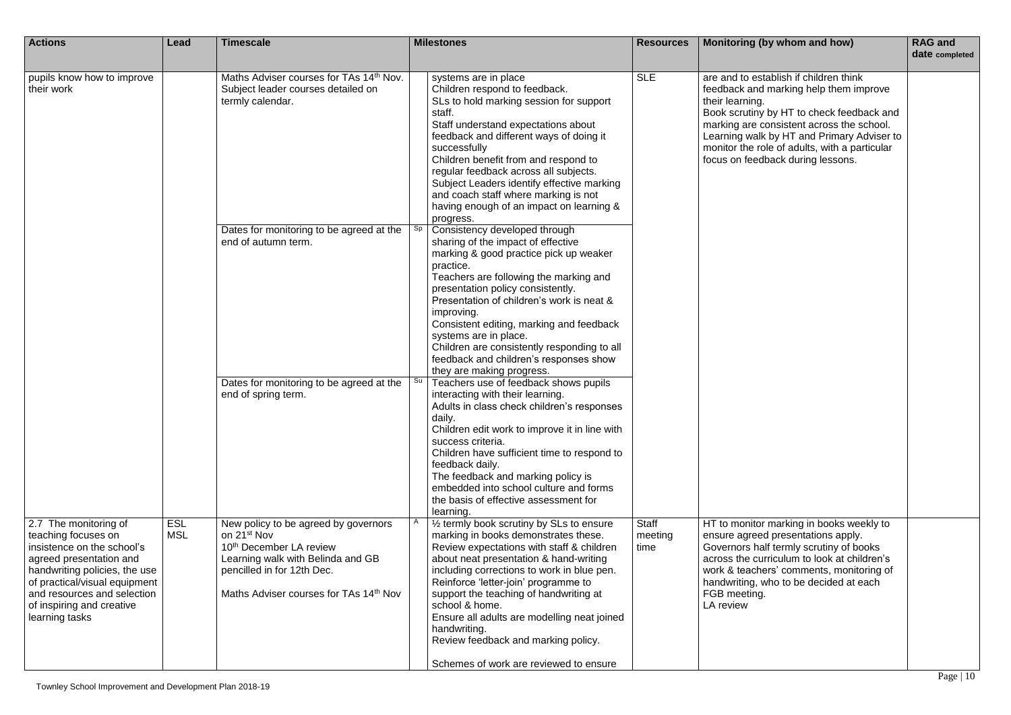| <b>Actions</b>                                                                                                                                                                                                                                        | Lead                     | <b>Timescale</b>                                                                                                                                                                                                    | <b>Milestones</b>                                                                                                                                                                                                                                                                                                                                                                                                                                                                    | <b>Resources</b>                | Monitoring (by whom and how)                                                                                                                                                                                                                                                                                                      | <b>RAG and</b><br>date completed |
|-------------------------------------------------------------------------------------------------------------------------------------------------------------------------------------------------------------------------------------------------------|--------------------------|---------------------------------------------------------------------------------------------------------------------------------------------------------------------------------------------------------------------|--------------------------------------------------------------------------------------------------------------------------------------------------------------------------------------------------------------------------------------------------------------------------------------------------------------------------------------------------------------------------------------------------------------------------------------------------------------------------------------|---------------------------------|-----------------------------------------------------------------------------------------------------------------------------------------------------------------------------------------------------------------------------------------------------------------------------------------------------------------------------------|----------------------------------|
| pupils know how to improve<br>their work                                                                                                                                                                                                              |                          | Maths Adviser courses for TAs 14th Nov.<br>Subject leader courses detailed on<br>termly calendar.                                                                                                                   | systems are in place<br>Children respond to feedback.<br>SLs to hold marking session for support<br>staff.<br>Staff understand expectations about<br>feedback and different ways of doing it<br>successfully<br>Children benefit from and respond to<br>regular feedback across all subjects.<br>Subject Leaders identify effective marking<br>and coach staff where marking is not<br>having enough of an impact on learning &<br>progress.                                         | <b>SLE</b>                      | are and to establish if children think<br>feedback and marking help them improve<br>their learning.<br>Book scrutiny by HT to check feedback and<br>marking are consistent across the school.<br>Learning walk by HT and Primary Adviser to<br>monitor the role of adults, with a particular<br>focus on feedback during lessons. |                                  |
|                                                                                                                                                                                                                                                       |                          | Dates for monitoring to be agreed at the<br>end of autumn term.                                                                                                                                                     | Consistency developed through<br>sharing of the impact of effective<br>marking & good practice pick up weaker<br>practice.<br>Teachers are following the marking and<br>presentation policy consistently.<br>Presentation of children's work is neat &<br>improving.<br>Consistent editing, marking and feedback<br>systems are in place.<br>Children are consistently responding to all<br>feedback and children's responses show<br>they are making progress.                      |                                 |                                                                                                                                                                                                                                                                                                                                   |                                  |
|                                                                                                                                                                                                                                                       |                          | Dates for monitoring to be agreed at the<br>end of spring term.                                                                                                                                                     | Teachers use of feedback shows pupils<br>interacting with their learning.<br>Adults in class check children's responses<br>daily.<br>Children edit work to improve it in line with<br>success criteria.<br>Children have sufficient time to respond to<br>feedback daily.<br>The feedback and marking policy is<br>embedded into school culture and forms<br>the basis of effective assessment for<br>learning.                                                                      |                                 |                                                                                                                                                                                                                                                                                                                                   |                                  |
| 2.7 The monitoring of<br>teaching focuses on<br>insistence on the school's<br>agreed presentation and<br>handwriting policies, the use<br>of practical/visual equipment<br>and resources and selection<br>of inspiring and creative<br>learning tasks | <b>ESL</b><br><b>MSL</b> | New policy to be agreed by governors<br>on 21 <sup>st</sup> Nov<br>10 <sup>th</sup> December LA review<br>Learning walk with Belinda and GB<br>pencilled in for 12th Dec.<br>Maths Adviser courses for TAs 14th Nov | $\frac{1}{2}$ termly book scrutiny by SLs to ensure<br>marking in books demonstrates these.<br>Review expectations with staff & children<br>about neat presentation & hand-writing<br>including corrections to work in blue pen.<br>Reinforce 'letter-join' programme to<br>support the teaching of handwriting at<br>school & home.<br>Ensure all adults are modelling neat joined<br>handwriting.<br>Review feedback and marking policy.<br>Schemes of work are reviewed to ensure | <b>Staff</b><br>meeting<br>time | HT to monitor marking in books weekly to<br>ensure agreed presentations apply.<br>Governors half termly scrutiny of books<br>across the curriculum to look at children's<br>work & teachers' comments, monitoring of<br>handwriting, who to be decided at each<br>FGB meeting.<br>LA review                                       |                                  |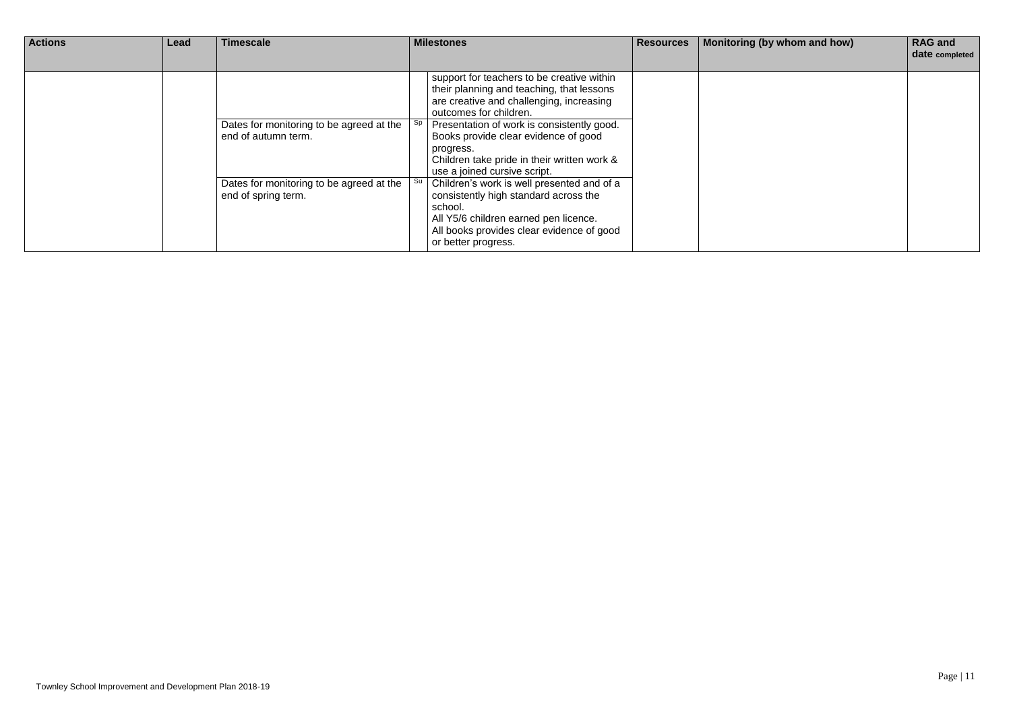| <b>Actions</b> | Lead | <b>Timescale</b>                                                | <b>Milestones</b>                                                                                                                                                                                                                                                                                                                               | <b>Resources</b> | Monitoring (by whom and how) | <b>RAG and</b><br>date completed |
|----------------|------|-----------------------------------------------------------------|-------------------------------------------------------------------------------------------------------------------------------------------------------------------------------------------------------------------------------------------------------------------------------------------------------------------------------------------------|------------------|------------------------------|----------------------------------|
|                |      | Dates for monitoring to be agreed at the<br>end of autumn term. | support for teachers to be creative within<br>their planning and teaching, that lessons<br>are creative and challenging, increasing<br>outcomes for children.<br>Presentation of work is consistently good.<br>Books provide clear evidence of good<br>progress.<br>Children take pride in their written work &<br>use a joined cursive script. |                  |                              |                                  |
|                |      | Dates for monitoring to be agreed at the<br>end of spring term. | Children's work is well presented and of a<br>consistently high standard across the<br>school.<br>All Y5/6 children earned pen licence.<br>All books provides clear evidence of good<br>or better progress.                                                                                                                                     |                  |                              |                                  |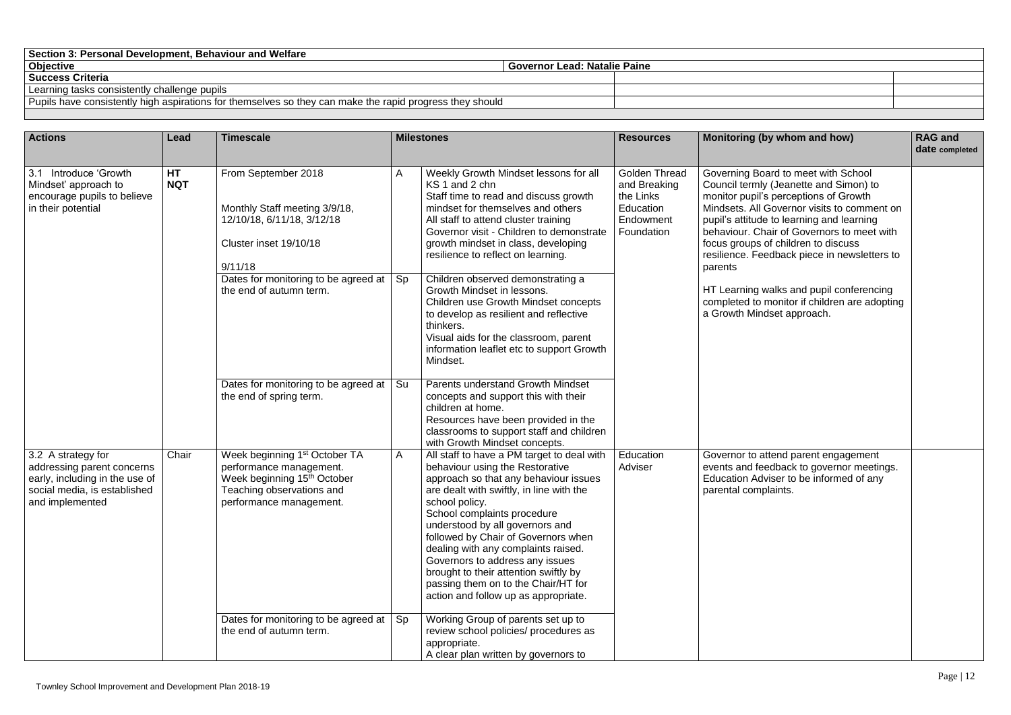# **Section 3: Personal Development, Behaviour and Welfare**

**Objective Governor Lead: Natalie Paine**

# **Success Criteria**

Learning tasks consistently challenge pupils

Pupils have consistently high aspirations for themselves so they can make the rapid progress they should

| <b>Actions</b>                                                                                                                        | Lead                    | <b>Timescale</b>                                                                                                                                                        |              | <b>Milestones</b>                                                                                                                                                                                                                                                                                                                                                                                                                                                                               | <b>Resources</b>                                                                          | Monitoring (by whom and how)                                                                                                                                                                                                                                                                                                                                       | <b>RAG and</b><br>date completed |
|---------------------------------------------------------------------------------------------------------------------------------------|-------------------------|-------------------------------------------------------------------------------------------------------------------------------------------------------------------------|--------------|-------------------------------------------------------------------------------------------------------------------------------------------------------------------------------------------------------------------------------------------------------------------------------------------------------------------------------------------------------------------------------------------------------------------------------------------------------------------------------------------------|-------------------------------------------------------------------------------------------|--------------------------------------------------------------------------------------------------------------------------------------------------------------------------------------------------------------------------------------------------------------------------------------------------------------------------------------------------------------------|----------------------------------|
| 3.1 Introduce 'Growth<br>Mindset' approach to<br>encourage pupils to believe<br>in their potential                                    | <b>HT</b><br><b>NQT</b> | From September 2018<br>Monthly Staff meeting 3/9/18,<br>12/10/18, 6/11/18, 3/12/18<br>Cluster inset 19/10/18<br>9/11/18<br>Dates for monitoring to be agreed at         | A<br>Sp      | Weekly Growth Mindset lessons for all<br>KS 1 and 2 chn<br>Staff time to read and discuss growth<br>mindset for themselves and others<br>All staff to attend cluster training<br>Governor visit - Children to demonstrate<br>growth mindset in class, developing<br>resilience to reflect on learning.<br>Children observed demonstrating a                                                                                                                                                     | <b>Golden Thread</b><br>and Breaking<br>the Links<br>Education<br>Endowment<br>Foundation | Governing Board to meet with School<br>Council termly (Jeanette and Simon) to<br>monitor pupil's perceptions of Growth<br>Mindsets. All Governor visits to comment on<br>pupil's attitude to learning and learning<br>behaviour. Chair of Governors to meet with<br>focus groups of children to discuss<br>resilience. Feedback piece in newsletters to<br>parents |                                  |
|                                                                                                                                       |                         | the end of autumn term.                                                                                                                                                 |              | Growth Mindset in lessons.<br>Children use Growth Mindset concepts<br>to develop as resilient and reflective<br>thinkers.<br>Visual aids for the classroom, parent<br>information leaflet etc to support Growth<br>Mindset.                                                                                                                                                                                                                                                                     |                                                                                           | HT Learning walks and pupil conferencing<br>completed to monitor if children are adopting<br>a Growth Mindset approach.                                                                                                                                                                                                                                            |                                  |
|                                                                                                                                       |                         | Dates for monitoring to be agreed at<br>the end of spring term.                                                                                                         | Su           | <b>Parents understand Growth Mindset</b><br>concepts and support this with their<br>children at home.<br>Resources have been provided in the<br>classrooms to support staff and children<br>with Growth Mindset concepts.                                                                                                                                                                                                                                                                       |                                                                                           |                                                                                                                                                                                                                                                                                                                                                                    |                                  |
| 3.2 A strategy for<br>addressing parent concerns<br>early, including in the use of<br>social media, is established<br>and implemented | Chair                   | Week beginning 1 <sup>st</sup> October TA<br>performance management.<br>Week beginning 15 <sup>th</sup> October<br>Teaching observations and<br>performance management. | $\mathsf{A}$ | All staff to have a PM target to deal with<br>behaviour using the Restorative<br>approach so that any behaviour issues<br>are dealt with swiftly, in line with the<br>school policy.<br>School complaints procedure<br>understood by all governors and<br>followed by Chair of Governors when<br>dealing with any complaints raised.<br>Governors to address any issues<br>brought to their attention swiftly by<br>passing them on to the Chair/HT for<br>action and follow up as appropriate. | Education<br>Adviser                                                                      | Governor to attend parent engagement<br>events and feedback to governor meetings.<br>Education Adviser to be informed of any<br>parental complaints.                                                                                                                                                                                                               |                                  |
|                                                                                                                                       |                         | Dates for monitoring to be agreed at<br>the end of autumn term.                                                                                                         | Sp           | Working Group of parents set up to<br>review school policies/ procedures as<br>appropriate.<br>A clear plan written by governors to                                                                                                                                                                                                                                                                                                                                                             |                                                                                           |                                                                                                                                                                                                                                                                                                                                                                    |                                  |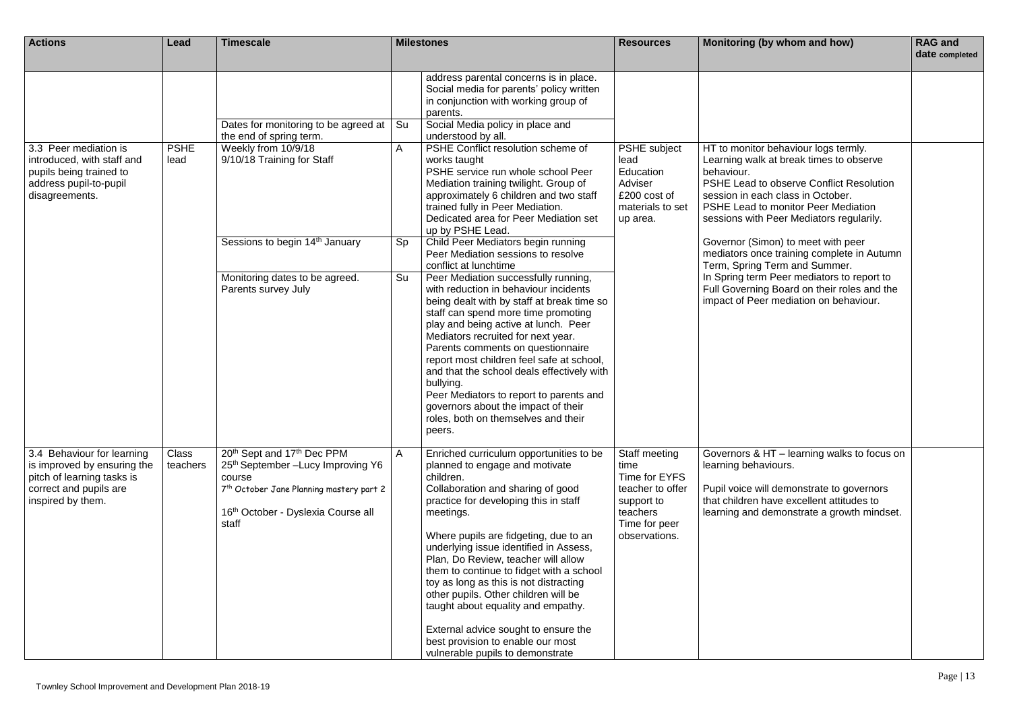| Monitoring (by whom and how)                                                                                                                                                                                                                                             | <b>RAG and</b><br>date completed |
|--------------------------------------------------------------------------------------------------------------------------------------------------------------------------------------------------------------------------------------------------------------------------|----------------------------------|
|                                                                                                                                                                                                                                                                          |                                  |
| HT to monitor behaviour logs termly.<br>Learning walk at break times to observe<br>behaviour.<br>PSHE Lead to observe Conflict Resolution<br>session in each class in October.<br><b>PSHE Lead to monitor Peer Mediation</b><br>sessions with Peer Mediators regularily. |                                  |
| Governor (Simon) to meet with peer<br>mediators once training complete in Autumn<br>Term, Spring Term and Summer.<br>In Spring term Peer mediators to report to<br>Full Governing Board on their roles and the<br>impact of Peer mediation on behaviour.                 |                                  |
|                                                                                                                                                                                                                                                                          |                                  |
| Governors & HT - learning walks to focus on<br>learning behaviours.                                                                                                                                                                                                      |                                  |
| Pupil voice will demonstrate to governors<br>that children have excellent attitudes to<br>learning and demonstrate a growth mindset.                                                                                                                                     |                                  |
|                                                                                                                                                                                                                                                                          |                                  |

| <b>Actions</b>                                                                                                                         | Lead                     | <b>Timescale</b>                                                                                                                                                                                                      |              | <b>Milestones</b>                                                                                                                                                                                                                                                                                                                                                                                                                                                                                                                | <b>Resources</b>                                                                                      | Monitoring (by whom and how)                                                                                                                                                                                                                                             | <b>RAG and</b><br>date compl |
|----------------------------------------------------------------------------------------------------------------------------------------|--------------------------|-----------------------------------------------------------------------------------------------------------------------------------------------------------------------------------------------------------------------|--------------|----------------------------------------------------------------------------------------------------------------------------------------------------------------------------------------------------------------------------------------------------------------------------------------------------------------------------------------------------------------------------------------------------------------------------------------------------------------------------------------------------------------------------------|-------------------------------------------------------------------------------------------------------|--------------------------------------------------------------------------------------------------------------------------------------------------------------------------------------------------------------------------------------------------------------------------|------------------------------|
|                                                                                                                                        |                          | Dates for monitoring to be agreed at<br>the end of spring term.                                                                                                                                                       | Su           | address parental concerns is in place.<br>Social media for parents' policy written<br>in conjunction with working group of<br>parents.<br>Social Media policy in place and<br>understood by all.                                                                                                                                                                                                                                                                                                                                 |                                                                                                       |                                                                                                                                                                                                                                                                          |                              |
| 3.3 Peer mediation is<br>introduced, with staff and<br>pupils being trained to<br>address pupil-to-pupil<br>disagreements.             | <b>PSHE</b><br>lead      | Weekly from 10/9/18<br>9/10/18 Training for Staff                                                                                                                                                                     | $\mathsf{A}$ | PSHE Conflict resolution scheme of<br>works taught<br>PSHE service run whole school Peer<br>Mediation training twilight. Group of<br>approximately 6 children and two staff<br>trained fully in Peer Mediation.<br>Dedicated area for Peer Mediation set<br>up by PSHE Lead.                                                                                                                                                                                                                                                     | <b>PSHE</b> subject<br>lead<br>Education<br>Adviser<br>£200 cost of<br>materials to set<br>up area.   | HT to monitor behaviour logs termly.<br>Learning walk at break times to observe<br>behaviour.<br>PSHE Lead to observe Conflict Resolution<br>session in each class in October.<br><b>PSHE Lead to monitor Peer Mediation</b><br>sessions with Peer Mediators regularily. |                              |
|                                                                                                                                        |                          | Sessions to begin 14 <sup>th</sup> January                                                                                                                                                                            | Sp           | Child Peer Mediators begin running<br>Peer Mediation sessions to resolve<br>conflict at lunchtime                                                                                                                                                                                                                                                                                                                                                                                                                                |                                                                                                       | Governor (Simon) to meet with peer<br>mediators once training complete in Autumn<br>Term, Spring Term and Summer.                                                                                                                                                        |                              |
|                                                                                                                                        |                          | Monitoring dates to be agreed.<br>Parents survey July                                                                                                                                                                 | Su           | Peer Mediation successfully running,<br>with reduction in behaviour incidents<br>being dealt with by staff at break time so<br>staff can spend more time promoting<br>play and being active at lunch. Peer<br>Mediators recruited for next year.<br>Parents comments on questionnaire<br>report most children feel safe at school,<br>and that the school deals effectively with<br>bullying.<br>Peer Mediators to report to parents and<br>governors about the impact of their<br>roles, both on themselves and their<br>peers. |                                                                                                       | In Spring term Peer mediators to report to<br>Full Governing Board on their roles and the<br>impact of Peer mediation on behaviour.                                                                                                                                      |                              |
| 3.4 Behaviour for learning<br>is improved by ensuring the<br>pitch of learning tasks is<br>correct and pupils are<br>inspired by them. | <b>Class</b><br>teachers | 20 <sup>th</sup> Sept and 17 <sup>th</sup> Dec PPM<br>25th September - Lucy Improving Y6<br>course<br>7 <sup>th</sup> October Jane Planning mastery part 2<br>16 <sup>th</sup> October - Dyslexia Course all<br>staff | A            | Enriched curriculum opportunities to be<br>planned to engage and motivate<br>children.<br>Collaboration and sharing of good<br>practice for developing this in staff<br>meetings.                                                                                                                                                                                                                                                                                                                                                | Staff meeting<br>time<br>Time for EYFS<br>teacher to offer<br>support to<br>teachers<br>Time for peer | Governors & HT - learning walks to focus on<br>learning behaviours.<br>Pupil voice will demonstrate to governors<br>that children have excellent attitudes to<br>learning and demonstrate a growth mindset.                                                              |                              |
|                                                                                                                                        |                          |                                                                                                                                                                                                                       |              | Where pupils are fidgeting, due to an<br>underlying issue identified in Assess,<br>Plan, Do Review, teacher will allow<br>them to continue to fidget with a school<br>toy as long as this is not distracting<br>other pupils. Other children will be<br>taught about equality and empathy.                                                                                                                                                                                                                                       | observations.                                                                                         |                                                                                                                                                                                                                                                                          |                              |
|                                                                                                                                        |                          |                                                                                                                                                                                                                       |              | External advice sought to ensure the<br>best provision to enable our most<br>vulnerable pupils to demonstrate                                                                                                                                                                                                                                                                                                                                                                                                                    |                                                                                                       |                                                                                                                                                                                                                                                                          |                              |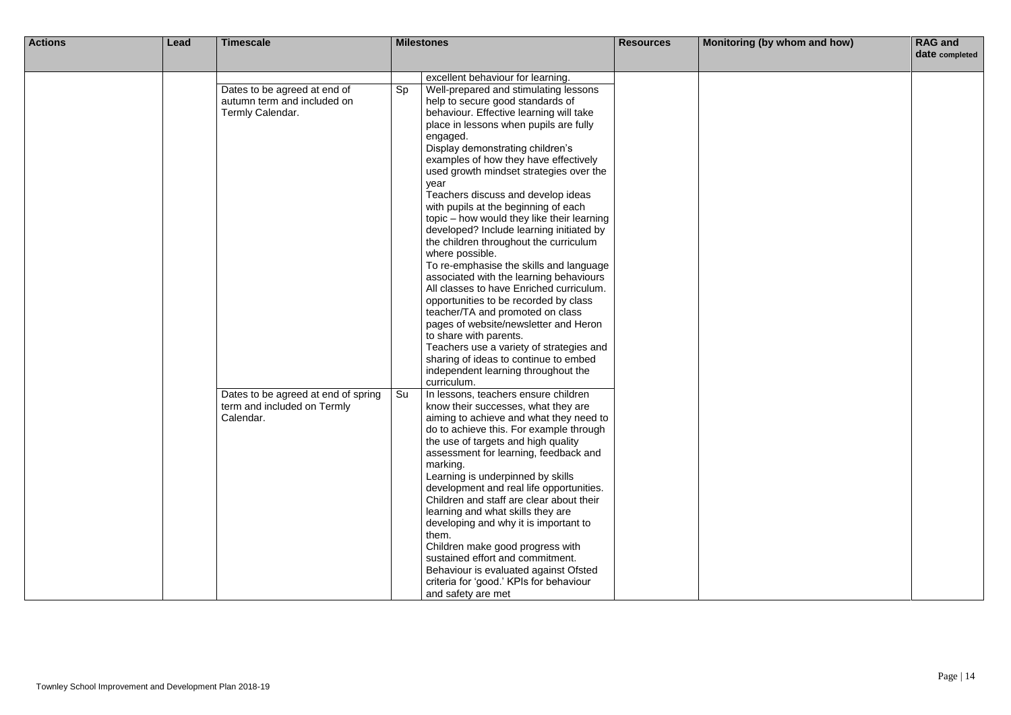| ng (by whom and how) | <b>RAG and</b><br>date completed |
|----------------------|----------------------------------|
|                      |                                  |
|                      |                                  |
|                      |                                  |
|                      |                                  |
|                      |                                  |
|                      |                                  |
|                      |                                  |
|                      |                                  |
|                      |                                  |
|                      |                                  |
|                      |                                  |
|                      |                                  |
|                      |                                  |
|                      |                                  |
|                      |                                  |
|                      |                                  |

| <b>Actions</b> | Lead | <b>Timescale</b>                                                                |    | <b>Milestones</b>                                                                                                                                                                                                                                                                                                                                                                                                                                                                                                                                                                                                                                                                                                                                                                                                                                                                                                                                                                                  | <b>Resources</b> | Monitoring (by whom and how) | <b>RAG and</b><br>date compl |
|----------------|------|---------------------------------------------------------------------------------|----|----------------------------------------------------------------------------------------------------------------------------------------------------------------------------------------------------------------------------------------------------------------------------------------------------------------------------------------------------------------------------------------------------------------------------------------------------------------------------------------------------------------------------------------------------------------------------------------------------------------------------------------------------------------------------------------------------------------------------------------------------------------------------------------------------------------------------------------------------------------------------------------------------------------------------------------------------------------------------------------------------|------------------|------------------------------|------------------------------|
|                |      |                                                                                 |    |                                                                                                                                                                                                                                                                                                                                                                                                                                                                                                                                                                                                                                                                                                                                                                                                                                                                                                                                                                                                    |                  |                              |                              |
|                |      | Dates to be agreed at end of<br>autumn term and included on<br>Termly Calendar. | Sp | excellent behaviour for learning.<br>Well-prepared and stimulating lessons<br>help to secure good standards of<br>behaviour. Effective learning will take<br>place in lessons when pupils are fully<br>engaged.<br>Display demonstrating children's<br>examples of how they have effectively<br>used growth mindset strategies over the<br>year<br>Teachers discuss and develop ideas<br>with pupils at the beginning of each<br>topic – how would they like their learning<br>developed? Include learning initiated by<br>the children throughout the curriculum<br>where possible.<br>To re-emphasise the skills and language<br>associated with the learning behaviours<br>All classes to have Enriched curriculum.<br>opportunities to be recorded by class<br>teacher/TA and promoted on class<br>pages of website/newsletter and Heron<br>to share with parents.<br>Teachers use a variety of strategies and<br>sharing of ideas to continue to embed<br>independent learning throughout the |                  |                              |                              |
|                |      | Dates to be agreed at end of spring<br>term and included on Termly<br>Calendar. | Su | curriculum.<br>In lessons, teachers ensure children<br>know their successes, what they are<br>aiming to achieve and what they need to<br>do to achieve this. For example through<br>the use of targets and high quality<br>assessment for learning, feedback and<br>marking.<br>Learning is underpinned by skills<br>development and real life opportunities.<br>Children and staff are clear about their<br>learning and what skills they are<br>developing and why it is important to<br>them.<br>Children make good progress with<br>sustained effort and commitment.<br>Behaviour is evaluated against Ofsted<br>criteria for 'good.' KPIs for behaviour<br>and safety are met                                                                                                                                                                                                                                                                                                                 |                  |                              |                              |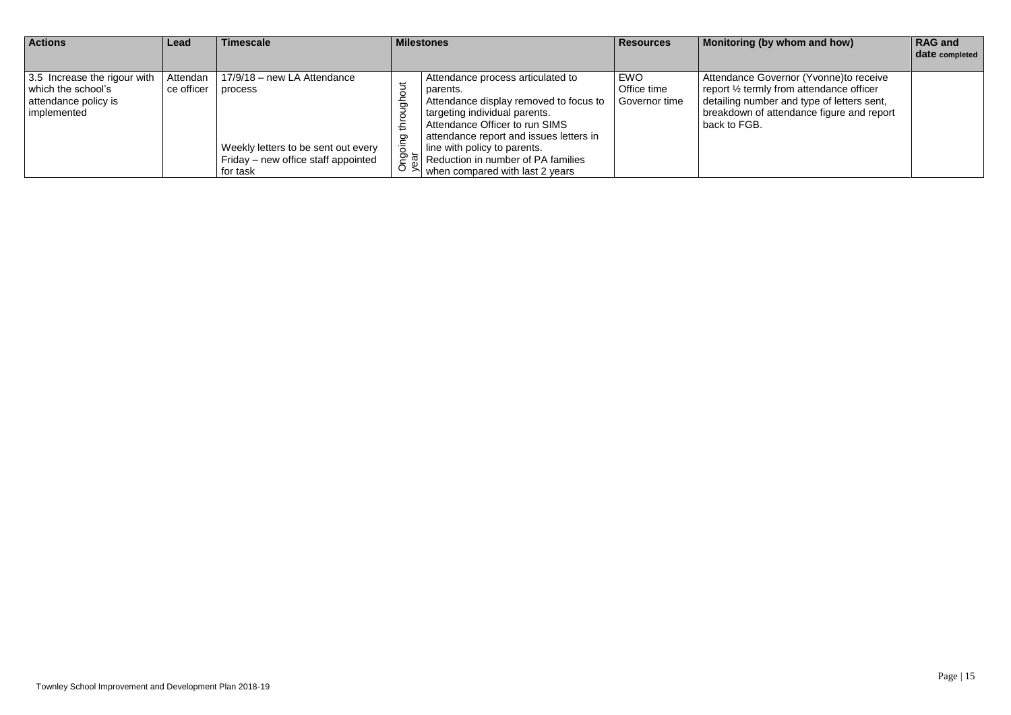| <b>Actions</b>                                                                            | Lead                   | <b>Timescale</b>                                                                                                                 |                                | <b>Milestones</b>                                                                                                                                                                                                                                                                                              | <b>Resources</b>                    | Monitoring (by whom and how)                                                                                                                                                                    | <b>RAG and</b><br>date completed |
|-------------------------------------------------------------------------------------------|------------------------|----------------------------------------------------------------------------------------------------------------------------------|--------------------------------|----------------------------------------------------------------------------------------------------------------------------------------------------------------------------------------------------------------------------------------------------------------------------------------------------------------|-------------------------------------|-------------------------------------------------------------------------------------------------------------------------------------------------------------------------------------------------|----------------------------------|
| 3.5 Increase the rigour with<br>which the school's<br>attendance policy is<br>implemented | Attendan<br>ce officer | 17/9/18 - new LA Attendance<br>process<br>Weekly letters to be sent out every<br>Friday – new office staff appointed<br>for task | ট<br>⇇<br>ρg<br>Ongoir<br>year | Attendance process articulated to<br>parents.<br>Attendance display removed to focus to<br>targeting individual parents.<br>Attendance Officer to run SIMS<br>attendance report and issues letters in<br>line with policy to parents.<br>Reduction in number of PA families<br>when compared with last 2 years | EWO<br>Office time<br>Governor time | Attendance Governor (Yvonne) to receive<br>report 1/2 termly from attendance officer<br>detailing number and type of letters sent,<br>breakdown of attendance figure and report<br>back to FGB. |                                  |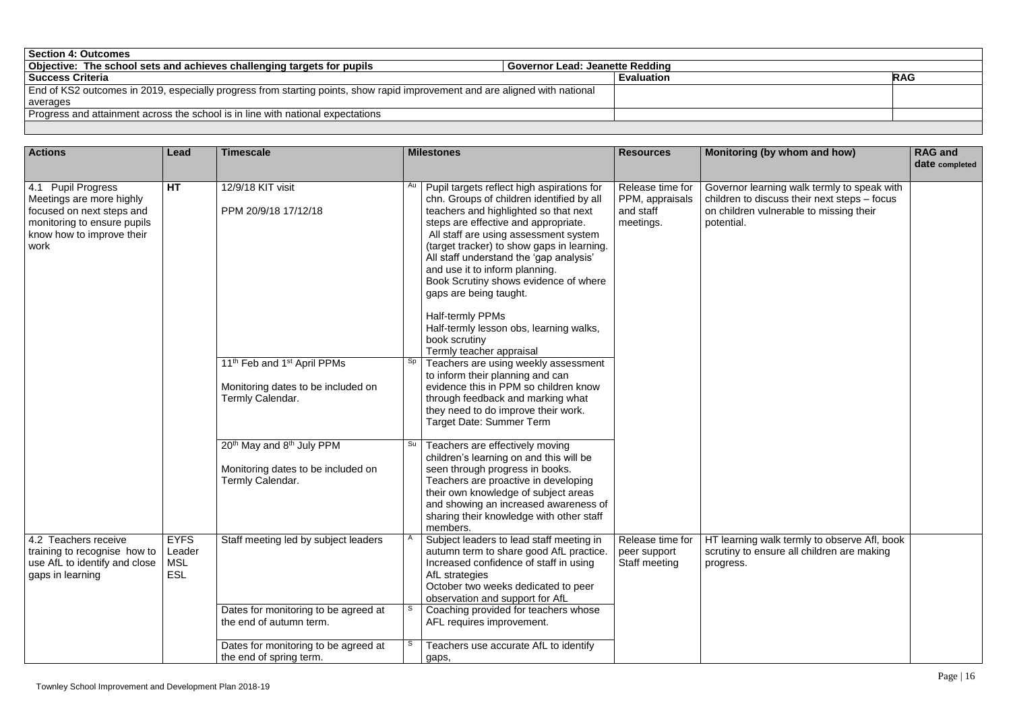| <b>RAG</b> |
|------------|
|            |
|            |
|            |

| <b>Section 4: Outcomes</b>                                                                                                       |                                        |            |
|----------------------------------------------------------------------------------------------------------------------------------|----------------------------------------|------------|
| Objective: The school sets and achieves challenging targets for pupils                                                           | <b>Governor Lead: Jeanette Redding</b> |            |
| <b>Success Criteria</b>                                                                                                          | <b>Evaluation</b>                      | <b>RAG</b> |
| End of KS2 outcomes in 2019, especially progress from starting points, show rapid improvement and are aligned with national [15] |                                        |            |
| averages                                                                                                                         |                                        |            |
| Progress and attainment across the school is in line with national expectations                                                  |                                        |            |
|                                                                                                                                  |                                        |            |

| <b>Actions</b>                                                                                                                                  | Lead                                              | <b>Timescale</b>                                                                                              |    | <b>Milestones</b>                                                                                                                                                                                                                                                                                                                                                                                                                                                                                      | <b>Resources</b>                                              | Monitoring (by whom and how)                                                                                                                         | <b>RAG and</b><br>date completed |
|-------------------------------------------------------------------------------------------------------------------------------------------------|---------------------------------------------------|---------------------------------------------------------------------------------------------------------------|----|--------------------------------------------------------------------------------------------------------------------------------------------------------------------------------------------------------------------------------------------------------------------------------------------------------------------------------------------------------------------------------------------------------------------------------------------------------------------------------------------------------|---------------------------------------------------------------|------------------------------------------------------------------------------------------------------------------------------------------------------|----------------------------------|
| 4.1 Pupil Progress<br>Meetings are more highly<br>focused on next steps and<br>monitoring to ensure pupils<br>know how to improve their<br>work | <b>HT</b>                                         | 12/9/18 KIT visit<br>PPM 20/9/18 17/12/18                                                                     | Au | Pupil targets reflect high aspirations for<br>chn. Groups of children identified by all<br>teachers and highlighted so that next<br>steps are effective and appropriate.<br>All staff are using assessment system<br>(target tracker) to show gaps in learning.<br>All staff understand the 'gap analysis'<br>and use it to inform planning.<br>Book Scrutiny shows evidence of where<br>gaps are being taught.<br><b>Half-termly PPMs</b><br>Half-termly lesson obs, learning walks,<br>book scrutiny | Release time for<br>PPM, appraisals<br>and staff<br>meetings. | Governor learning walk termly to speak with<br>children to discuss their next steps - focus<br>on children vulnerable to missing their<br>potential. |                                  |
|                                                                                                                                                 |                                                   | 11 <sup>th</sup> Feb and 1 <sup>st</sup> April PPMs<br>Monitoring dates to be included on<br>Termly Calendar. | Sp | Termly teacher appraisal<br>Teachers are using weekly assessment<br>to inform their planning and can<br>evidence this in PPM so children know<br>through feedback and marking what<br>they need to do improve their work.<br><b>Target Date: Summer Term</b>                                                                                                                                                                                                                                           |                                                               |                                                                                                                                                      |                                  |
|                                                                                                                                                 |                                                   | 20 <sup>th</sup> May and 8 <sup>th</sup> July PPM<br>Monitoring dates to be included on<br>Termly Calendar.   | Su | Teachers are effectively moving<br>children's learning on and this will be<br>seen through progress in books.<br>Teachers are proactive in developing<br>their own knowledge of subject areas<br>and showing an increased awareness of<br>sharing their knowledge with other staff<br>members.                                                                                                                                                                                                         |                                                               |                                                                                                                                                      |                                  |
| 4.2 Teachers receive<br>training to recognise how to<br>use AfL to identify and close<br>gaps in learning                                       | <b>EYFS</b><br>Leader<br><b>MSL</b><br><b>ESL</b> | Staff meeting led by subject leaders                                                                          |    | Subject leaders to lead staff meeting in<br>autumn term to share good AfL practice.<br>Increased confidence of staff in using<br>AfL strategies<br>October two weeks dedicated to peer<br>observation and support for AfL                                                                                                                                                                                                                                                                              | Release time for<br>peer support<br>Staff meeting             | HT learning walk termly to observe Afl, book<br>scrutiny to ensure all children are making<br>progress.                                              |                                  |
|                                                                                                                                                 |                                                   | Dates for monitoring to be agreed at<br>the end of autumn term.                                               | S. | Coaching provided for teachers whose<br>AFL requires improvement.                                                                                                                                                                                                                                                                                                                                                                                                                                      |                                                               |                                                                                                                                                      |                                  |
|                                                                                                                                                 |                                                   | Dates for monitoring to be agreed at<br>the end of spring term.                                               | S  | Teachers use accurate AfL to identify<br>gaps,                                                                                                                                                                                                                                                                                                                                                                                                                                                         |                                                               |                                                                                                                                                      |                                  |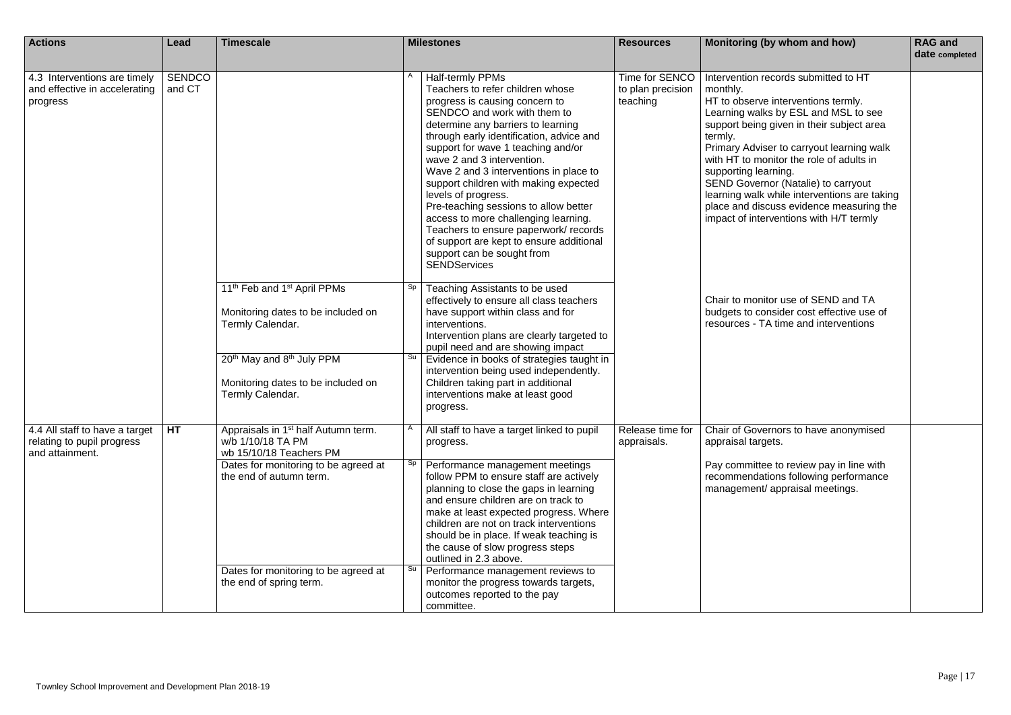| <b>Actions</b>                                                                  | Lead                    | <b>Timescale</b>                                                                                                                                                                                                                      | <b>Milestones</b>                                                                                                                                                                                                                                                                                                                                                                                                                                                                                                                                                                                                 | <b>Resources</b>                                | Monitoring (by whom and how)                                                                                                                                                                                                                                                                                                                                                                                                                                                           | <b>RAG and</b><br>date completed |
|---------------------------------------------------------------------------------|-------------------------|---------------------------------------------------------------------------------------------------------------------------------------------------------------------------------------------------------------------------------------|-------------------------------------------------------------------------------------------------------------------------------------------------------------------------------------------------------------------------------------------------------------------------------------------------------------------------------------------------------------------------------------------------------------------------------------------------------------------------------------------------------------------------------------------------------------------------------------------------------------------|-------------------------------------------------|----------------------------------------------------------------------------------------------------------------------------------------------------------------------------------------------------------------------------------------------------------------------------------------------------------------------------------------------------------------------------------------------------------------------------------------------------------------------------------------|----------------------------------|
| 4.3 Interventions are timely<br>and effective in accelerating<br>progress       | <b>SENDCO</b><br>and CT |                                                                                                                                                                                                                                       | Half-termly PPMs<br>Teachers to refer children whose<br>progress is causing concern to<br>SENDCO and work with them to<br>determine any barriers to learning<br>through early identification, advice and<br>support for wave 1 teaching and/or<br>wave 2 and 3 intervention.<br>Wave 2 and 3 interventions in place to<br>support children with making expected<br>levels of progress.<br>Pre-teaching sessions to allow better<br>access to more challenging learning.<br>Teachers to ensure paperwork/ records<br>of support are kept to ensure additional<br>support can be sought from<br><b>SENDServices</b> | Time for SENCO<br>to plan precision<br>teaching | Intervention records submitted to HT<br>monthly.<br>HT to observe interventions termly.<br>Learning walks by ESL and MSL to see<br>support being given in their subject area<br>termly.<br>Primary Adviser to carryout learning walk<br>with HT to monitor the role of adults in<br>supporting learning.<br>SEND Governor (Natalie) to carryout<br>learning walk while interventions are taking<br>place and discuss evidence measuring the<br>impact of interventions with H/T termly |                                  |
|                                                                                 |                         | 11 <sup>th</sup> Feb and 1 <sup>st</sup> April PPMs<br>Monitoring dates to be included on<br>Termly Calendar.<br>20 <sup>th</sup> May and 8 <sup>th</sup> July PPM<br>Monitoring dates to be included on<br>Termly Calendar.          | Sp<br>Teaching Assistants to be used<br>effectively to ensure all class teachers<br>have support within class and for<br>interventions.<br>Intervention plans are clearly targeted to<br>pupil need and are showing impact<br>Su<br>Evidence in books of strategies taught in<br>intervention being used independently.<br>Children taking part in additional<br>interventions make at least good<br>progress.                                                                                                                                                                                                    |                                                 | Chair to monitor use of SEND and TA<br>budgets to consider cost effective use of<br>resources - TA time and interventions                                                                                                                                                                                                                                                                                                                                                              |                                  |
| 4.4 All staff to have a target<br>relating to pupil progress<br>and attainment. | <b>HT</b>               | Appraisals in 1 <sup>st</sup> half Autumn term.<br>w/b 1/10/18 TA PM<br>wb 15/10/18 Teachers PM<br>Dates for monitoring to be agreed at<br>the end of autumn term.<br>Dates for monitoring to be agreed at<br>the end of spring term. | All staff to have a target linked to pupil<br>progress.<br>Sp<br>Performance management meetings<br>follow PPM to ensure staff are actively<br>planning to close the gaps in learning<br>and ensure children are on track to<br>make at least expected progress. Where<br>children are not on track interventions<br>should be in place. If weak teaching is<br>the cause of slow progress steps<br>outlined in 2.3 above.<br>Su<br>Performance management reviews to<br>monitor the progress towards targets,<br>outcomes reported to the pay<br>committee.                                                      | Release time for<br>appraisals.                 | Chair of Governors to have anonymised<br>appraisal targets.<br>Pay committee to review pay in line with<br>recommendations following performance<br>management/ appraisal meetings.                                                                                                                                                                                                                                                                                                    |                                  |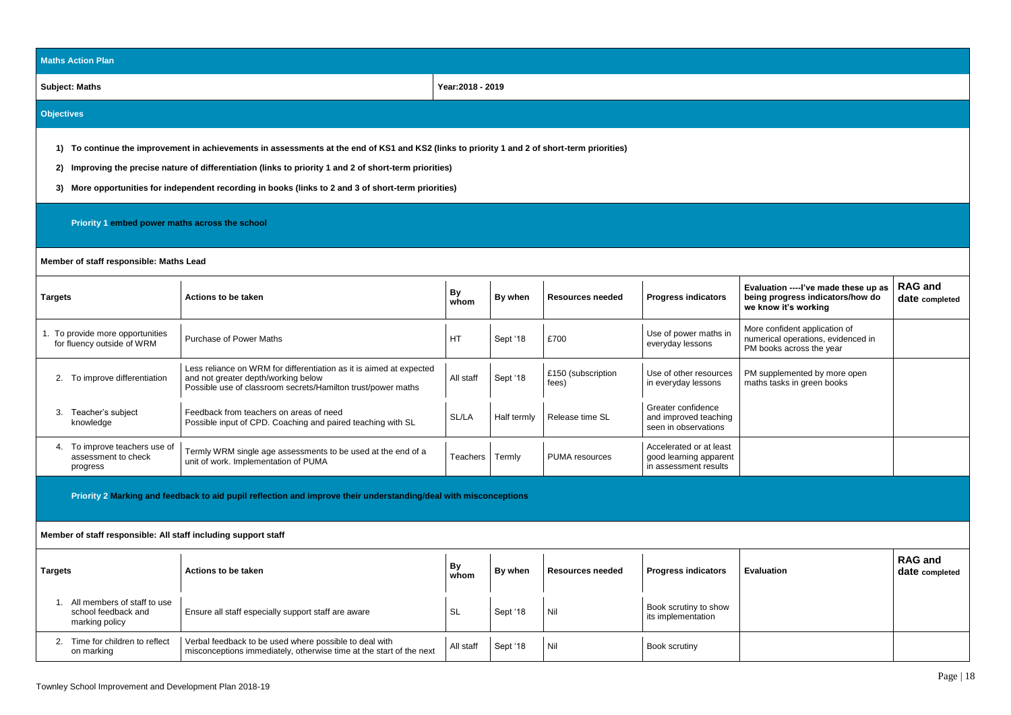| <b>Maths Action Plan</b>                                                                                         |                                                                                                                                                                                                                                                                                                                                                        |                   |             |                             |                                                                            |                                               |  |  |  |  |
|------------------------------------------------------------------------------------------------------------------|--------------------------------------------------------------------------------------------------------------------------------------------------------------------------------------------------------------------------------------------------------------------------------------------------------------------------------------------------------|-------------------|-------------|-----------------------------|----------------------------------------------------------------------------|-----------------------------------------------|--|--|--|--|
| <b>Subject: Maths</b>                                                                                            |                                                                                                                                                                                                                                                                                                                                                        | Year: 2018 - 2019 |             |                             |                                                                            |                                               |  |  |  |  |
| <b>Objectives</b>                                                                                                |                                                                                                                                                                                                                                                                                                                                                        |                   |             |                             |                                                                            |                                               |  |  |  |  |
| 1)<br>2)<br>3)                                                                                                   | To continue the improvement in achievements in assessments at the end of KS1 and KS2 (links to priority 1 and 2 of short-term priorities)<br>Improving the precise nature of differentiation (links to priority 1 and 2 of short-term priorities)<br>More opportunities for independent recording in books (links to 2 and 3 of short-term priorities) |                   |             |                             |                                                                            |                                               |  |  |  |  |
| Priority 1 embed power maths across the school                                                                   |                                                                                                                                                                                                                                                                                                                                                        |                   |             |                             |                                                                            |                                               |  |  |  |  |
| Member of staff responsible: Maths Lead                                                                          |                                                                                                                                                                                                                                                                                                                                                        |                   |             |                             |                                                                            |                                               |  |  |  |  |
| <b>Targets</b>                                                                                                   | <b>Actions to be taken</b>                                                                                                                                                                                                                                                                                                                             | <b>By</b><br>whom | By when     | <b>Resources needed</b>     | <b>Progress indicators</b>                                                 | <b>Evaluation</b><br>being prog<br>we know it |  |  |  |  |
| 1. To provide more opportunities<br>for fluency outside of WRM                                                   | <b>Purchase of Power Maths</b>                                                                                                                                                                                                                                                                                                                         | HT                | Sept '18    | £700                        | Use of power maths in<br>everyday lessons                                  | More confid<br>numerical c<br>PM books a      |  |  |  |  |
| 2. To improve differentiation                                                                                    | Less reliance on WRM for differentiation as it is aimed at expected<br>and not greater depth/working below<br>Possible use of classroom secrets/Hamilton trust/power maths                                                                                                                                                                             | All staff         | Sept '18    | £150 (subscription<br>fees) | Use of other resources<br>in everyday lessons                              | PM suppler<br>maths task:                     |  |  |  |  |
| Teacher's subject<br>3.<br>knowledge                                                                             | Feedback from teachers on areas of need<br>Possible input of CPD. Coaching and paired teaching with SL                                                                                                                                                                                                                                                 | SL/LA             | Half termly | Release time SL             | Greater confidence<br>and improved teaching<br>seen in observations        |                                               |  |  |  |  |
| 4. To improve teachers use of<br>assessment to check<br>progress                                                 | Termly WRM single age assessments to be used at the end of a<br>unit of work. Implementation of PUMA                                                                                                                                                                                                                                                   | Teachers          | Termly      | PUMA resources              | Accelerated or at least<br>good learning apparent<br>in assessment results |                                               |  |  |  |  |
| Priority 2 Marking and feedback to aid pupil reflection and improve their understanding/deal with misconceptions |                                                                                                                                                                                                                                                                                                                                                        |                   |             |                             |                                                                            |                                               |  |  |  |  |
| Member of staff responsible: All staff including support staff                                                   |                                                                                                                                                                                                                                                                                                                                                        |                   |             |                             |                                                                            |                                               |  |  |  |  |
| <b>Targets</b>                                                                                                   | <b>Actions to be taken</b>                                                                                                                                                                                                                                                                                                                             | <b>By</b><br>whom | By when     | <b>Resources needed</b>     | <b>Progress indicators</b>                                                 | <b>Evaluation</b>                             |  |  |  |  |
| All members of staff to use<br>$1_{-}$<br>school feedback and<br>marking policy                                  | Ensure all staff especially support staff are aware                                                                                                                                                                                                                                                                                                    | <b>SL</b>         | Sept '18    | Nil                         | Book scrutiny to show<br>its implementation                                |                                               |  |  |  |  |

Verbal feedback to be used where possible to deal with<br>misconceptions immediately, otherwise time at the start of the next All staff Sept '18 Nil Nil Book scrutiny

| Evaluation ----I've made these up as<br>being progress indicators/how do<br>we know it's working | <b>RAG and</b><br>date completed |
|--------------------------------------------------------------------------------------------------|----------------------------------|
| More confident application of<br>numerical operations, evidenced in<br>PM books across the year  |                                  |
| PM supplemented by more open<br>maths tasks in green books                                       |                                  |
|                                                                                                  |                                  |
|                                                                                                  |                                  |
|                                                                                                  |                                  |
|                                                                                                  |                                  |
|                                                                                                  |                                  |
|                                                                                                  |                                  |
| <b>Evaluation</b>                                                                                | <b>RAG and</b><br>date completed |
|                                                                                                  |                                  |
|                                                                                                  |                                  |
|                                                                                                  |                                  |

marking policy

2. Time for children to reflect

on marking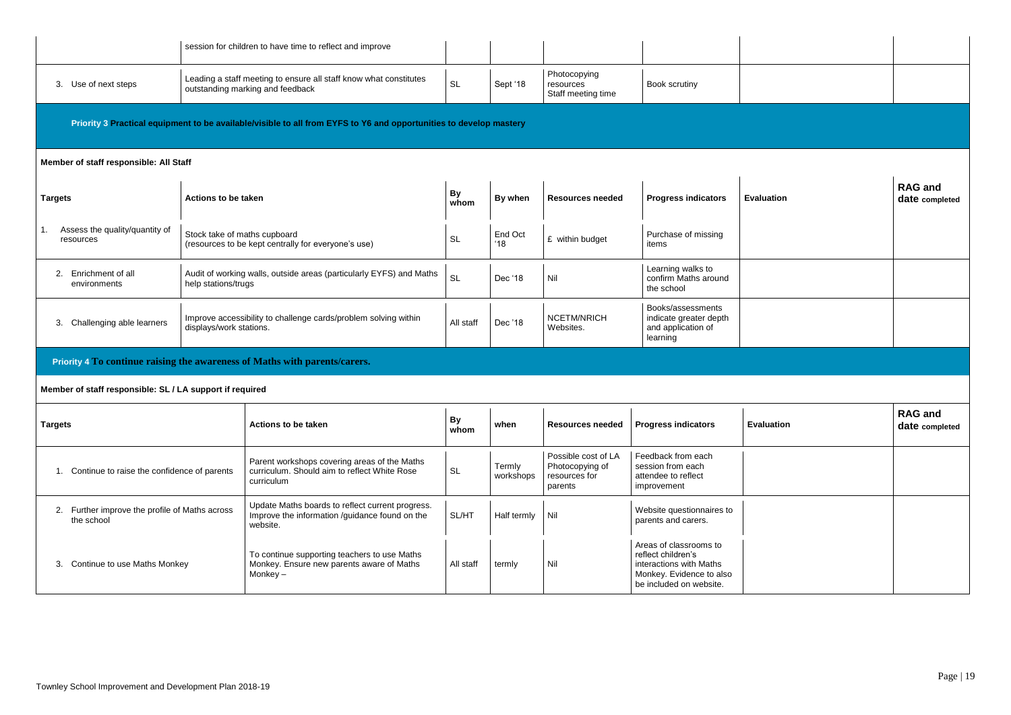|                                                                                                                               |                                                                                            | session for children to have time to reflect and improve                                                           |            |                          |                                                                               |                                                                                                                                |                   |                                  |
|-------------------------------------------------------------------------------------------------------------------------------|--------------------------------------------------------------------------------------------|--------------------------------------------------------------------------------------------------------------------|------------|--------------------------|-------------------------------------------------------------------------------|--------------------------------------------------------------------------------------------------------------------------------|-------------------|----------------------------------|
| 3. Use of next steps                                                                                                          |                                                                                            | Leading a staff meeting to ensure all staff know what constitutes<br>outstanding marking and feedback              | <b>SL</b>  | Sept '18                 | Photocopying<br>resources<br>Staff meeting time                               | Book scrutiny                                                                                                                  |                   |                                  |
|                                                                                                                               |                                                                                            | Priority 3 Practical equipment to be available/visible to all from EYFS to Y6 and opportunities to develop mastery |            |                          |                                                                               |                                                                                                                                |                   |                                  |
| Member of staff responsible: All Staff                                                                                        |                                                                                            |                                                                                                                    |            |                          |                                                                               |                                                                                                                                |                   |                                  |
| <b>Targets</b>                                                                                                                | <b>Actions to be taken</b>                                                                 |                                                                                                                    | By<br>whom | By when                  | <b>Resources needed</b>                                                       | <b>Progress indicators</b>                                                                                                     | <b>Evaluation</b> | <b>RAG and</b><br>date completed |
| Assess the quality/quantity of<br>resources                                                                                   | Stock take of maths cupboard                                                               | (resources to be kept centrally for everyone's use)                                                                | <b>SL</b>  | End Oct<br>'18           | £ within budget                                                               | Purchase of missing<br>items                                                                                                   |                   |                                  |
| Enrichment of all<br>2.<br>environments                                                                                       | Audit of working walls, outside areas (particularly EYFS) and Maths<br>help stations/trugs |                                                                                                                    | <b>SL</b>  | Dec '18                  | Nil                                                                           | Learning walks to<br>confirm Maths around<br>the school                                                                        |                   |                                  |
| Improve accessibility to challenge cards/problem solving within<br>Challenging able learners<br>3.<br>displays/work stations. |                                                                                            | All staff                                                                                                          | Dec '18    | NCETM/NRICH<br>Websites. | Books/assessments<br>indicate greater depth<br>and application of<br>learning |                                                                                                                                |                   |                                  |
|                                                                                                                               |                                                                                            | Priority 4 To continue raising the awareness of Maths with parents/carers.                                         |            |                          |                                                                               |                                                                                                                                |                   |                                  |
| Member of staff responsible: SL / LA support if required                                                                      |                                                                                            |                                                                                                                    |            |                          |                                                                               |                                                                                                                                |                   |                                  |
| <b>Targets</b>                                                                                                                |                                                                                            | <b>Actions to be taken</b>                                                                                         | By<br>whom | when                     | <b>Resources needed</b>                                                       | <b>Progress indicators</b>                                                                                                     | <b>Evaluation</b> | <b>RAG and</b><br>date completed |
| 1. Continue to raise the confidence of parents                                                                                |                                                                                            | Parent workshops covering areas of the Maths<br>curriculum. Should aim to reflect White Rose<br>curriculum         | SL         | Termly<br>workshops      | Possible cost of LA<br>Photocopying of<br>resources for<br>parents            | Feedback from each<br>session from each<br>attendee to reflect<br>improvement                                                  |                   |                                  |
| 2. Further improve the profile of Maths across<br>the school                                                                  |                                                                                            | Update Maths boards to reflect current progress.<br>Improve the information /guidance found on the<br>website.     | SL/HT      | Half termly              | Nil                                                                           | Website questionnaires to<br>parents and carers.                                                                               |                   |                                  |
| 3. Continue to use Maths Monkey                                                                                               |                                                                                            | To continue supporting teachers to use Maths<br>Monkey. Ensure new parents aware of Maths<br>Monkey-               | All staff  | termly                   | Nil                                                                           | Areas of classrooms to<br>reflect children's<br>interactions with Maths<br>Monkey. Evidence to also<br>be included on website. |                   |                                  |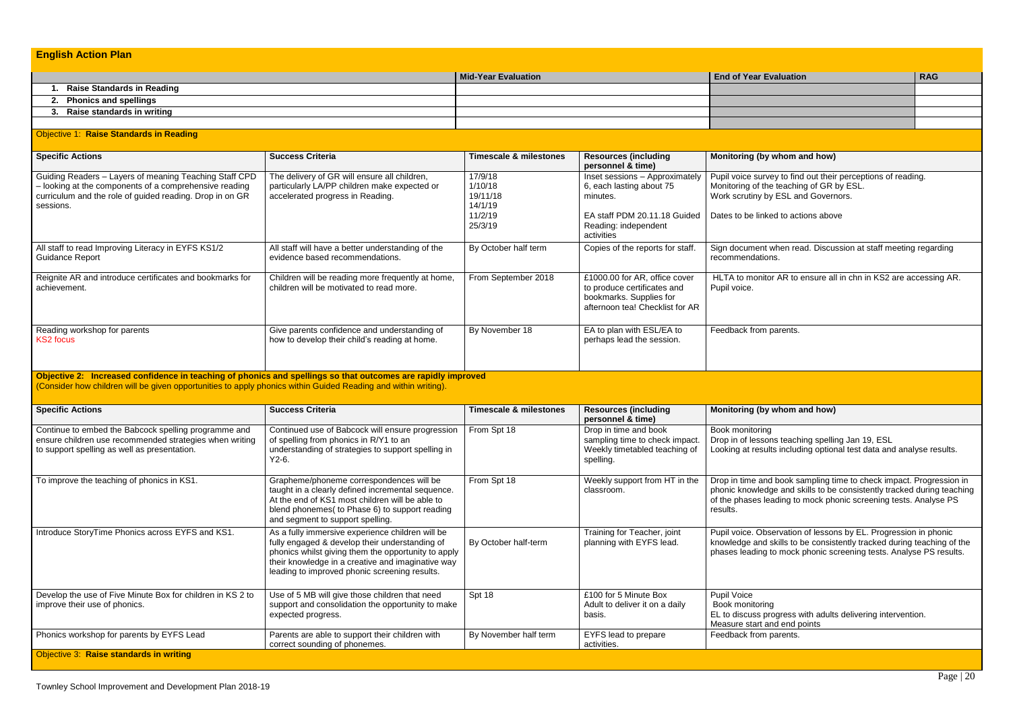| <b>English Action Plan</b>                                                                                                                                                                |                                                                                                                                  |                                                                 |                                                                                                                                              |                                                                                                                                                                                        |     |
|-------------------------------------------------------------------------------------------------------------------------------------------------------------------------------------------|----------------------------------------------------------------------------------------------------------------------------------|-----------------------------------------------------------------|----------------------------------------------------------------------------------------------------------------------------------------------|----------------------------------------------------------------------------------------------------------------------------------------------------------------------------------------|-----|
|                                                                                                                                                                                           |                                                                                                                                  | <b>Mid-Year Evaluation</b>                                      |                                                                                                                                              | <b>End of Year Evaluation</b>                                                                                                                                                          | RAG |
| <b>Raise Standards in Reading</b>                                                                                                                                                         |                                                                                                                                  |                                                                 |                                                                                                                                              |                                                                                                                                                                                        |     |
| 2. Phonics and spellings                                                                                                                                                                  |                                                                                                                                  |                                                                 |                                                                                                                                              |                                                                                                                                                                                        |     |
| 3. Raise standards in writing                                                                                                                                                             |                                                                                                                                  |                                                                 |                                                                                                                                              |                                                                                                                                                                                        |     |
|                                                                                                                                                                                           |                                                                                                                                  |                                                                 |                                                                                                                                              |                                                                                                                                                                                        |     |
| <b>Objective 1: Raise Standards in Reading</b>                                                                                                                                            |                                                                                                                                  |                                                                 |                                                                                                                                              |                                                                                                                                                                                        |     |
| <b>Specific Actions</b>                                                                                                                                                                   | <b>Success Criteria</b>                                                                                                          | <b>Timescale &amp; milestones</b>                               | <b>Resources (including</b><br>personnel & time)                                                                                             | Monitoring (by whom and how)                                                                                                                                                           |     |
| Guiding Readers - Layers of meaning Teaching Staff CPD<br>- looking at the components of a comprehensive reading<br>curriculum and the role of guided reading. Drop in on GR<br>sessions. | The delivery of GR will ensure all children,<br>particularly LA/PP children make expected or<br>accelerated progress in Reading. | 17/9/18<br>1/10/18<br>19/11/18<br>14/1/19<br>11/2/19<br>25/3/19 | Inset sessions - Approximately<br>6, each lasting about 75<br>minutes.<br>EA staff PDM 20.11.18 Guided<br>Reading: independent<br>activities | Pupil voice survey to find out their perceptions of reading.<br>Monitoring of the teaching of GR by ESL.<br>Work scrutiny by ESL and Governors.<br>Dates to be linked to actions above |     |
| All staff to read Improving Literacy in EYFS KS1/2<br><b>Guidance Report</b>                                                                                                              | All staff will have a better understanding of the<br>evidence based recommendations.                                             | By October half term                                            | Copies of the reports for staff.                                                                                                             | Sign document when read. Discussion at staff meeting regarding<br>recommendations.                                                                                                     |     |
| Reignite AR and introduce certificates and bookmarks for<br>achievement.                                                                                                                  | Children will be reading more frequently at home,<br>children will be motivated to read more.                                    | From September 2018                                             | £1000.00 for AR, office cover<br>to produce certificates and<br>bookmarks. Supplies for<br>afternoon tea! Checklist for AR                   | HLTA to monitor AR to ensure all in chn in KS2 are accessing AF<br>Pupil voice.                                                                                                        |     |
| Reading workshop for parents<br><b>KS2 focus</b>                                                                                                                                          | Give parents confidence and understanding of<br>how to develop their child's reading at home.                                    | By November 18                                                  | EA to plan with ESL/EA to<br>perhaps lead the session.                                                                                       | Feedback from parents.                                                                                                                                                                 |     |

**Objective 2: Increased confidence in teaching of phonics and spellings so that outcomes are rapidly improved** (Consider how children will be given opportunities to apply phonics within Guided Reading and within writing).

| <b>End of Year Evaluation</b>                                                                                                                                                                                                 | <b>RAG</b> |
|-------------------------------------------------------------------------------------------------------------------------------------------------------------------------------------------------------------------------------|------------|
|                                                                                                                                                                                                                               |            |
|                                                                                                                                                                                                                               |            |
|                                                                                                                                                                                                                               |            |
|                                                                                                                                                                                                                               |            |
|                                                                                                                                                                                                                               |            |
| Monitoring (by whom and how)                                                                                                                                                                                                  |            |
| Pupil voice survey to find out their perceptions of reading.<br>Monitoring of the teaching of GR by ESL.<br>Work scrutiny by ESL and Governors.                                                                               |            |
| Dates to be linked to actions above                                                                                                                                                                                           |            |
| Sign document when read. Discussion at staff meeting regarding<br>recommendations.                                                                                                                                            |            |
| HLTA to monitor AR to ensure all in chn in KS2 are accessing AR.<br>Pupil voice.                                                                                                                                              |            |
| Feedback from parents.                                                                                                                                                                                                        |            |
|                                                                                                                                                                                                                               |            |
| Monitoring (by whom and how)                                                                                                                                                                                                  |            |
| Book monitoring<br>Drop in of lessons teaching spelling Jan 19, ESL<br>Looking at results including optional test data and analyse results.                                                                                   |            |
| Drop in time and book sampling time to check impact. Progression in<br>phonic knowledge and skills to be consistently tracked during teaching<br>of the phases leading to mock phonic screening tests. Analyse PS<br>results. |            |
| Pupil voice. Observation of lessons by EL. Progression in phonic<br>knowledge and skills to be consistently tracked during teaching of the<br>phases leading to mock phonic screening tests. Analyse PS results.              |            |
| Pupil Voice<br>Book monitoring<br>EL to discuss progress with adults delivering intervention.<br>Measure start and end points                                                                                                 |            |
| Feedback from parents.                                                                                                                                                                                                        |            |
|                                                                                                                                                                                                                               |            |

| <b>Specific Actions</b>                                                                                                                                         | <b>Success Criteria</b>                                                                                                                                                                                                                                         | <b>Timescale &amp; milestones</b> | <b>Resources (including</b><br>personnel & time)                                                      | <b>Monitoring (by whom</b>                                                                |
|-----------------------------------------------------------------------------------------------------------------------------------------------------------------|-----------------------------------------------------------------------------------------------------------------------------------------------------------------------------------------------------------------------------------------------------------------|-----------------------------------|-------------------------------------------------------------------------------------------------------|-------------------------------------------------------------------------------------------|
| Continue to embed the Babcock spelling programme and<br>ensure children use recommended strategies when writing<br>to support spelling as well as presentation. | Continued use of Babcock will ensure progression<br>of spelling from phonics in R/Y1 to an<br>understanding of strategies to support spelling in<br>Y2-6.                                                                                                       | From Spt 18                       | Drop in time and book<br>sampling time to check impact.<br>Weekly timetabled teaching of<br>spelling. | Book monitoring<br>Drop in of lessons teach<br>Looking at results includ                  |
| To improve the teaching of phonics in KS1.                                                                                                                      | Grapheme/phoneme correspondences will be<br>taught in a clearly defined incremental sequence.<br>At the end of KS1 most children will be able to<br>blend phonemes( to Phase 6) to support reading<br>and segment to support spelling.                          | From Spt 18                       | Weekly support from HT in the<br>classroom.                                                           | Drop in time and book s<br>phonic knowledge and s<br>of the phases leading to<br>results. |
| Introduce StoryTime Phonics across EYFS and KS1.                                                                                                                | As a fully immersive experience children will be<br>fully engaged & develop their understanding of<br>phonics whilst giving them the opportunity to apply<br>their knowledge in a creative and imaginative way<br>leading to improved phonic screening results. | By October half-term              | Training for Teacher, joint<br>planning with EYFS lead.                                               | Pupil voice. Observation<br>knowledge and skills to<br>phases leading to mock             |
| Develop the use of Five Minute Box for children in KS 2 to<br>improve their use of phonics.                                                                     | Use of 5 MB will give those children that need<br>support and consolidation the opportunity to make<br>expected progress.                                                                                                                                       | Spt 18                            | £100 for 5 Minute Box<br>Adult to deliver it on a daily<br>basis.                                     | Pupil Voice<br>Book monitoring<br>EL to discuss progress<br>Measure start and end         |
| Phonics workshop for parents by EYFS Lead                                                                                                                       | Parents are able to support their children with<br>correct sounding of phonemes.                                                                                                                                                                                | By November half term             | EYFS lead to prepare<br>activities.                                                                   | Feedback from parents.                                                                    |
| Objective 3: Raise standards in writing                                                                                                                         |                                                                                                                                                                                                                                                                 |                                   |                                                                                                       |                                                                                           |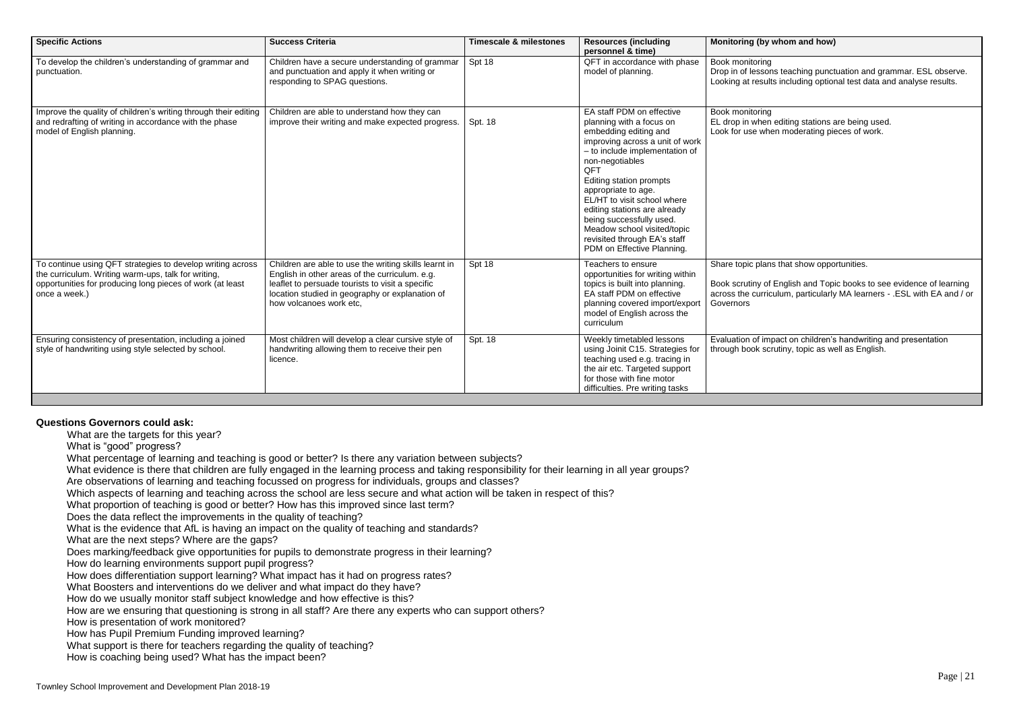#### by whom and how)

ing

sons teaching punctuation and grammar. ESL observe. sults including optional test data and analyse results.

ing en editing stations are being used. when moderating pieces of work.

lans that show opportunities.

of English and Topic books to see evidence of learning rriculum, particularly MA learners - .ESL with EA and / or

impact on children's handwriting and presentation scrutiny, topic as well as English.

| <b>Specific Actions</b>                                                                                                                                                                         | <b>Success Criteria</b>                                                                                                                                                                                                                   | <b>Timescale &amp; milestones</b> | <b>Resources (including</b><br>personnel & time)                                                                                                                                                                                                                                                                                                                                                                        | <b>Monitoring (b)</b>                                          |
|-------------------------------------------------------------------------------------------------------------------------------------------------------------------------------------------------|-------------------------------------------------------------------------------------------------------------------------------------------------------------------------------------------------------------------------------------------|-----------------------------------|-------------------------------------------------------------------------------------------------------------------------------------------------------------------------------------------------------------------------------------------------------------------------------------------------------------------------------------------------------------------------------------------------------------------------|----------------------------------------------------------------|
| To develop the children's understanding of grammar and<br>punctuation.                                                                                                                          | Children have a secure understanding of grammar<br>and punctuation and apply it when writing or<br>responding to SPAG questions.                                                                                                          | Spt 18                            | QFT in accordance with phase<br>model of planning.                                                                                                                                                                                                                                                                                                                                                                      | Book monitori<br>Drop in of less<br>Looking at res             |
| Improve the quality of children's writing through their editing<br>and redrafting of writing in accordance with the phase<br>model of English planning.                                         | Children are able to understand how they can<br>improve their writing and make expected progress.                                                                                                                                         | Spt. 18                           | EA staff PDM on effective<br>planning with a focus on<br>embedding editing and<br>improving across a unit of work<br>- to include implementation of<br>non-negotiables<br>QFT<br>Editing station prompts<br>appropriate to age.<br>EL/HT to visit school where<br>editing stations are already<br>being successfully used.<br>Meadow school visited/topic<br>revisited through EA's staff<br>PDM on Effective Planning. | Book monitori<br>EL drop in wh<br>Look for use v               |
| To continue using QFT strategies to develop writing across<br>the curriculum. Writing warm-ups, talk for writing,<br>opportunities for producing long pieces of work (at least<br>once a week.) | Children are able to use the writing skills learnt in<br>English in other areas of the curriculum. e.g.<br>leaflet to persuade tourists to visit a specific<br>location studied in geography or explanation of<br>how volcanoes work etc, | Spt 18                            | Teachers to ensure<br>opportunities for writing within<br>topics is built into planning.<br>EA staff PDM on effective<br>planning covered import/export<br>model of English across the<br>curriculum                                                                                                                                                                                                                    | Share topic pl<br>Book scrutiny<br>across the cui<br>Governors |
| Ensuring consistency of presentation, including a joined<br>style of handwriting using style selected by school.                                                                                | Most children will develop a clear cursive style of<br>handwriting allowing them to receive their pen<br>licence.                                                                                                                         | Spt. 18                           | Weekly timetabled lessons<br>using Joinit C15. Strategies for<br>teaching used e.g. tracing in<br>the air etc. Targeted support<br>for those with fine motor<br>difficulties. Pre writing tasks                                                                                                                                                                                                                         | Evaluation of<br>through book                                  |

What evidence is there that children are fully engaged in the learning process and taking responsibility for their learning in all year groups? Are observations of learning and teaching focussed on progress for individuals, groups and classes?

### **Questions Governors could ask:**

What are the targets for this year?

What is "good" progress?

What percentage of learning and teaching is good or better? Is there any variation between subjects?

Which aspects of learning and teaching across the school are less secure and what action will be taken in respect of this?

What proportion of teaching is good or better? How has this improved since last term?

Does the data reflect the improvements in the quality of teaching?

What is the evidence that AfL is having an impact on the quality of teaching and standards?

What are the next steps? Where are the gaps?

Does marking/feedback give opportunities for pupils to demonstrate progress in their learning?

How do learning environments support pupil progress?

How does differentiation support learning? What impact has it had on progress rates?

What Boosters and interventions do we deliver and what impact do they have?

How do we usually monitor staff subject knowledge and how effective is this?

How are we ensuring that questioning is strong in all staff? Are there any experts who can support others?

How is presentation of work monitored?

How has Pupil Premium Funding improved learning?

What support is there for teachers regarding the quality of teaching?

How is coaching being used? What has the impact been?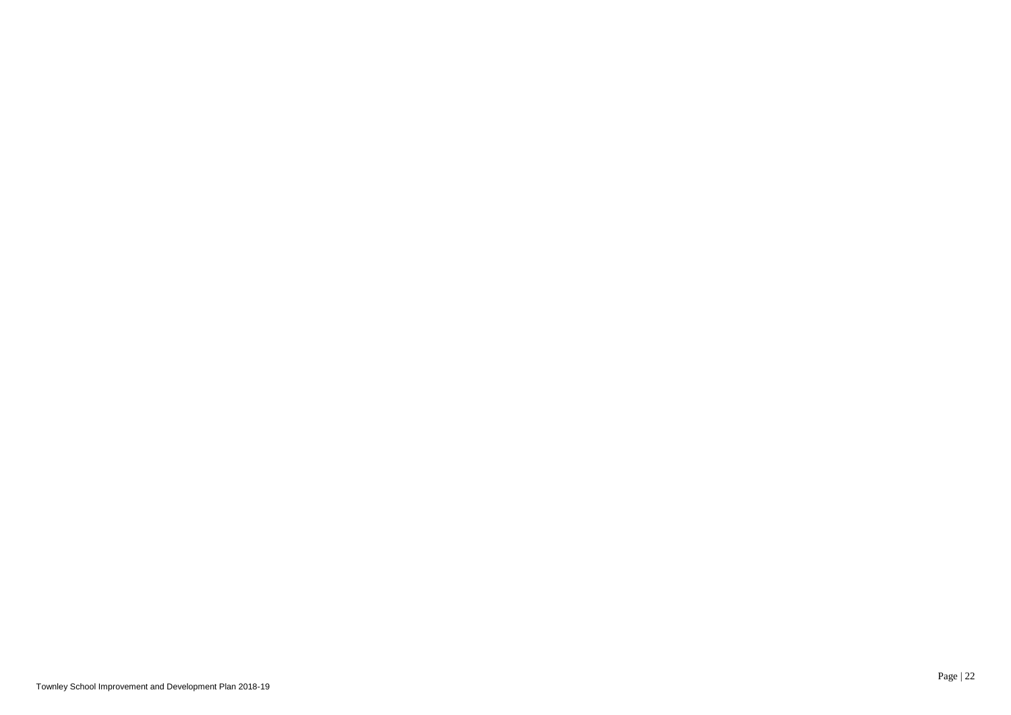Townley School Improvement and Development Plan 2018 -19